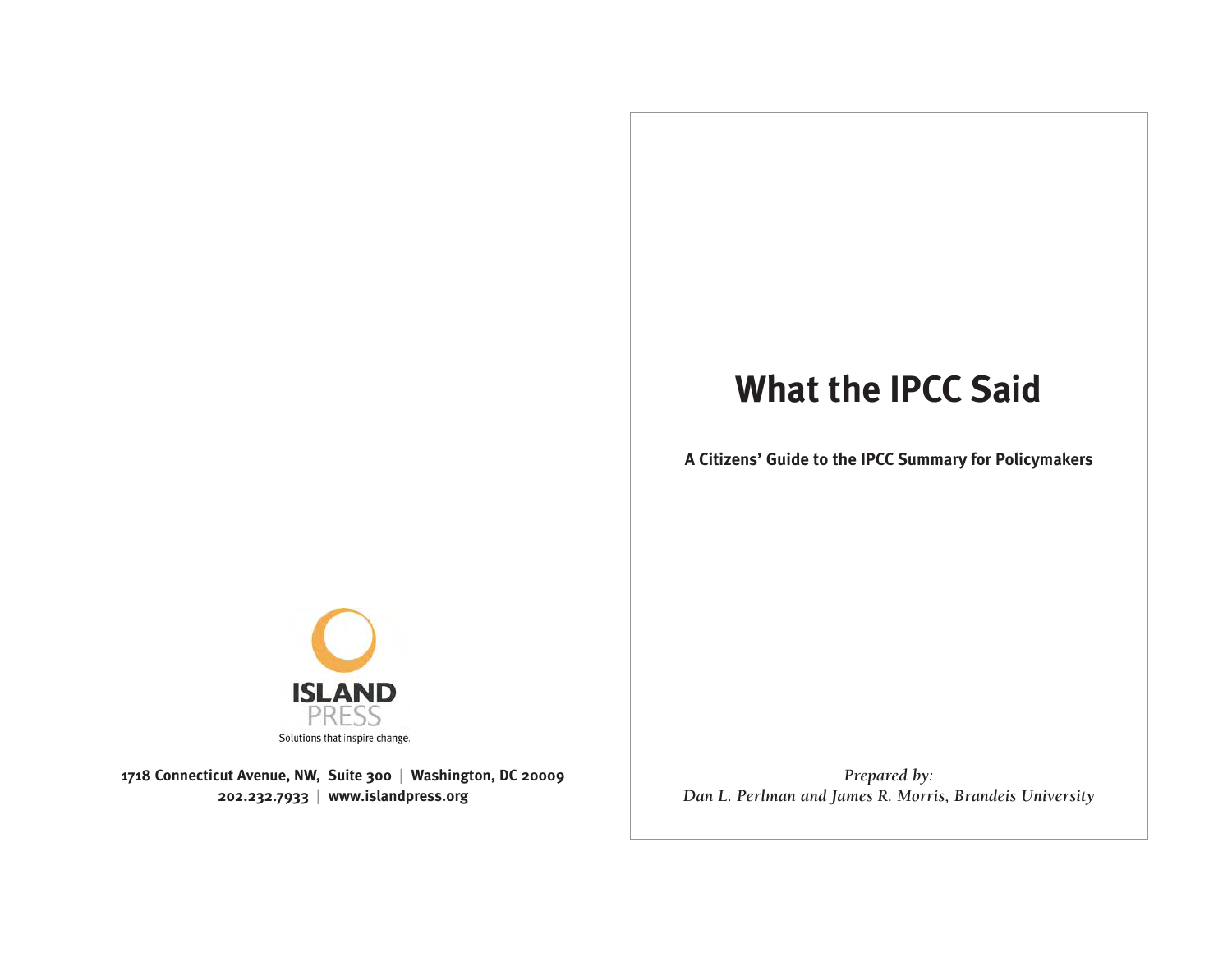# **What the IPCC Said**

**A Citizens' Guide to the IPCC Summary for Policymakers**



**1718 Connecticut Avenue, NW, Suite 300 | Washington, DC 20009 202.232.7933 | www.islandpress.org**

*Prepared by: Dan L. Perlman and James R. Morris, Brandeis University*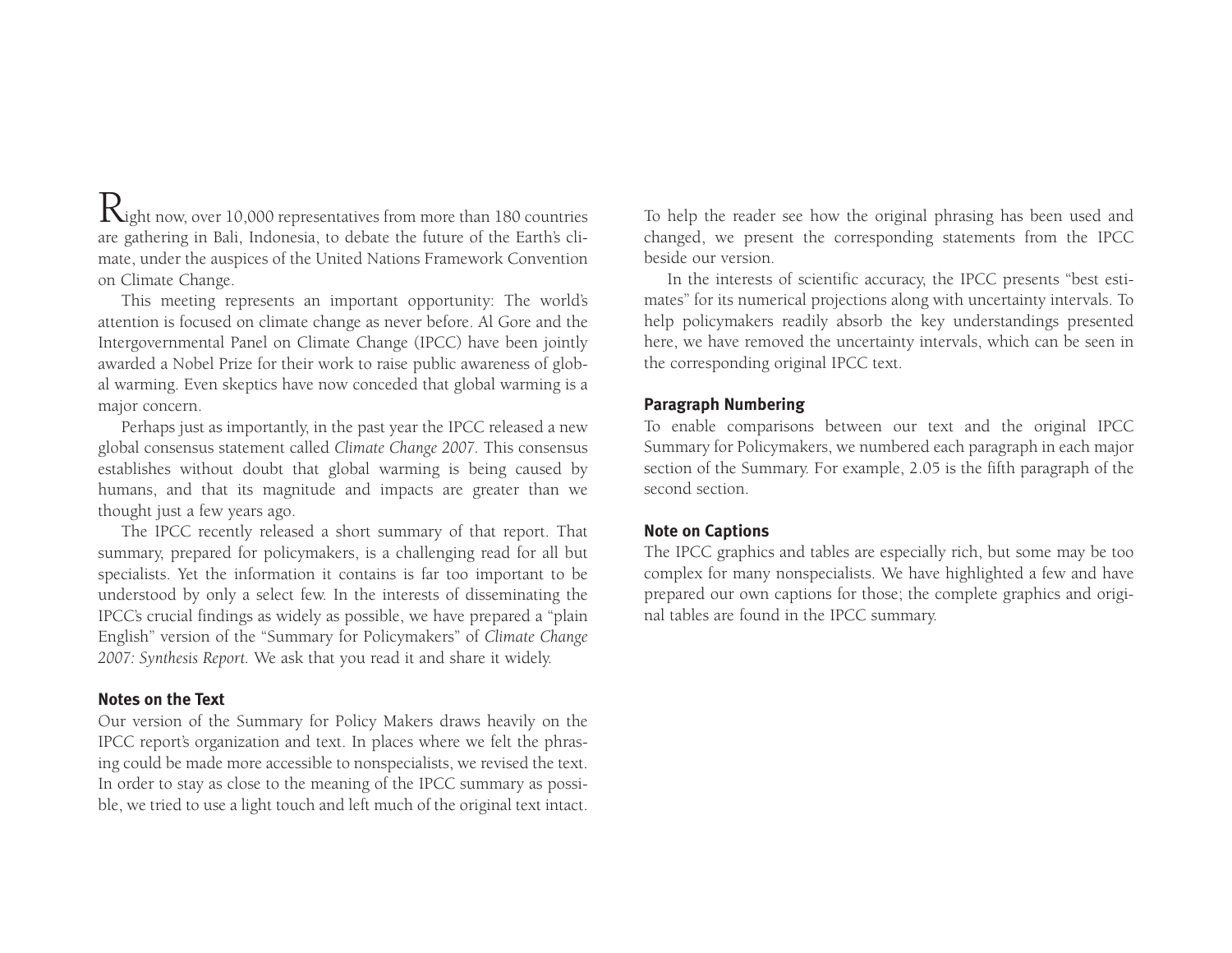$R_{\rm{ight\,now, over 10,000}}$  representatives from more than 180 countries are gathering in Bali, Indonesia, to debate the future of the Earth's climate, under the auspices of the United Nations Framework Convention on Climate Change.

This meeting represents an important opportunity: The world's attention is focused on climate change as never before. Al Gore and the Intergovernmental Panel on Climate Change (IPCC) have been jointly awarded a Nobel Prize for their work to raise public awareness of global warming. Even skeptics have now conceded that global warming is a major concern.

Perhaps just as importantly, in the past year the IPCC released a new global consensus statement called *Climate Change 2007.* This consensus establishes without doubt that global warming is being caused by humans, and that its magnitude and impacts are greater than we thought just a few years ago.

The IPCC recently released a short summary of that report. That summary, prepared for policymakers, is a challenging read for all but specialists. Yet the information it contains is far too important to be understood by only a select few. In the interests of disseminating the IPCC's crucial findings as widely as possible, we have prepared a "plain English" version of the "Summary for Policymakers" of *Climate Change 2007: Synthesis Report.* We ask that you read it and share it widely.

#### **Notes on the Text**

Our version of the Summary for Policy Makers draws heavily on the IPCC report's organization and text. In places where we felt the phrasing could be made more accessible to nonspecialists, we revised the text. In order to stay as close to the meaning of the IPCC summary as possible, we tried to use a light touch and left much of the original text intact. To help the reader see how the original phrasing has been used and changed, we present the corresponding statements from the IPCC beside our version.

In the interests of scientific accuracy, the IPCC presents "best estimates" for its numerical projections along with uncertainty intervals. To help policymakers readily absorb the key understandings presented here, we have removed the uncertainty intervals, which can be seen in the corresponding original IPCC text.

#### **Paragraph Numbering**

To enable comparisons between our text and the original IPCC Summary for Policymakers, we numbered each paragraph in each major section of the Summary. For example, 2.05 is the fifth paragraph of the second section.

#### **Note on Captions**

The IPCC graphics and tables are especially rich, but some may be too complex for many nonspecialists. We have highlighted a few and have prepared our own captions for those; the complete graphics and original tables are found in the IPCC summary.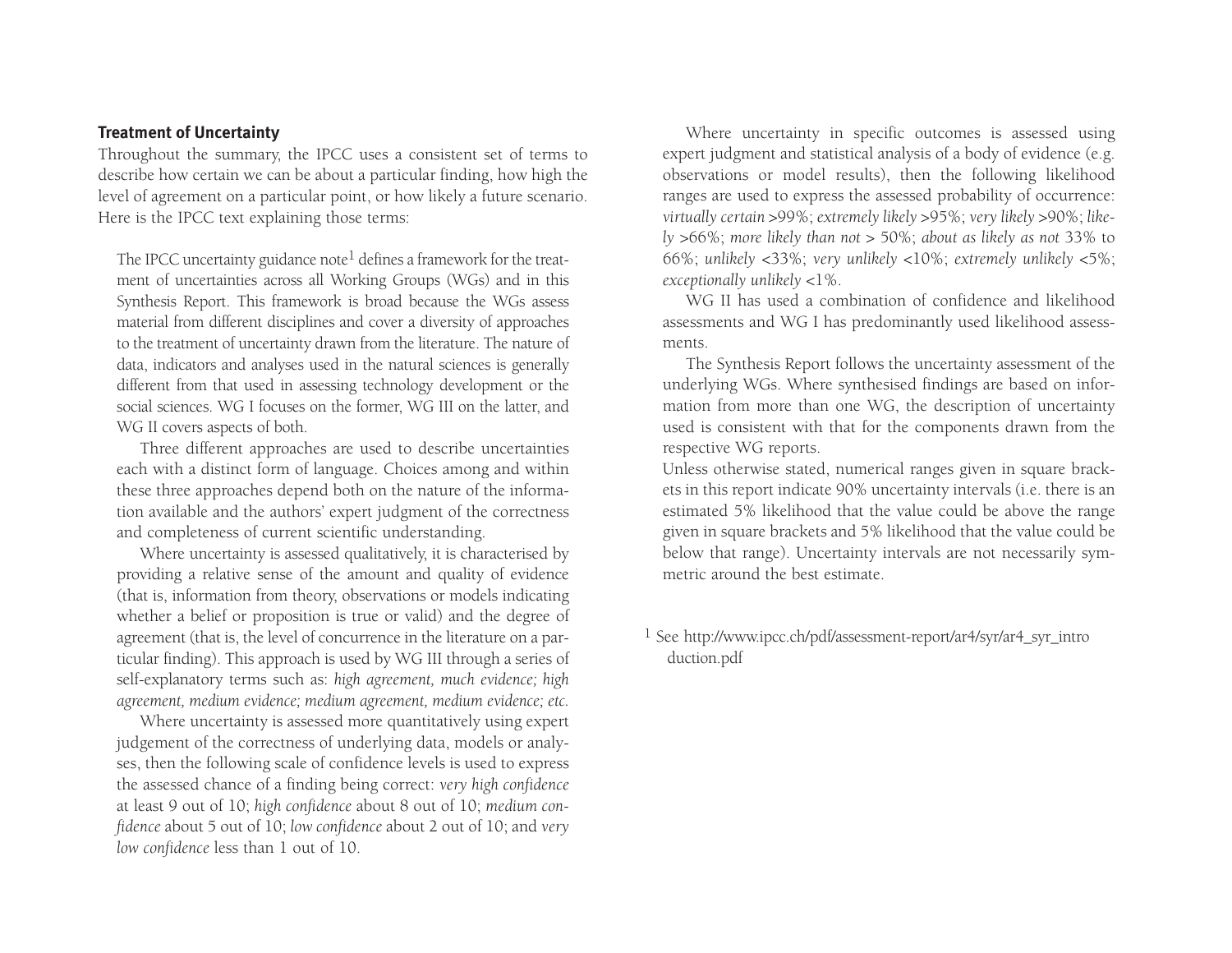#### **Treatment of Uncertainty**

Throughout the summary, the IPCC uses a consistent set of terms to describe how certain we can be about a particular finding, how high the level of agreement on a particular point, or how likely a future scenario. Here is the IPCC text explaining those terms:

The IPCC uncertainty guidance note<sup>1</sup> defines a framework for the treatment of uncertainties across all Working Groups (WGs) and in this Synthesis Report. This framework is broad because the WGs assess material from different disciplines and cover a diversity of approaches to the treatment of uncertainty drawn from the literature. The nature of data, indicators and analyses used in the natural sciences is generally different from that used in assessing technology development or the social sciences. WG I focuses on the former, WG III on the latter, and WG II covers aspects of both.

Three different approaches are used to describe uncertainties each with a distinct form of language. Choices among and within these three approaches depend both on the nature of the information available and the authors' expert judgment of the correctness and completeness of current scientific understanding.

Where uncertainty is assessed qualitatively, it is characterised by providing a relative sense of the amount and quality of evidence (that is, information from theory, observations or models indicating whether a belief or proposition is true or valid) and the degree of agreement (that is, the level of concurrence in the literature on a particular finding). This approach is used by WG III through a series of self-explanatory terms such as: *high agreement, much evidence; high agreement, medium evidence; medium agreement, medium evidence; etc.* 

Where uncertainty is assessed more quantitatively using expert judgement of the correctness of underlying data, models or analyses, then the following scale of confidence levels is used to express the assessed chance of a finding being correct: *very high confidence* at least 9 out of 10; *high confidence* about 8 out of 10; *medium confidence* about 5 out of 10; *low confidence* about 2 out of 10; and *very low confidence* less than 1 out of 10.

Where uncertainty in specific outcomes is assessed using expert judgment and statistical analysis of a body of evidence (e.g. observations or model results), then the following likelihood ranges are used to express the assessed probability of occurrence: *virtually certain* >99%; *extremely likely* >95%; *very likely* >90%; *likely* >66%; *more likely than not* > 50%; *about as likely as not* 33% to 66%; *unlikely* <33%; *very unlikely* <10%; *extremely unlikely* <5%; *exceptionally unlikely* <1%.

WG II has used a combination of confidence and likelihoodassessments and WG I has predominantly used likelihood assessments.

The Synthesis Report follows the uncertainty assessment of the underlying WGs. Where synthesised findings are based on information from more than one WG, the description of uncertainty used is consistent with that for the components drawn from the respective WG reports.

Unless otherwise stated, numerical ranges given in square brackets in this report indicate 90% uncertainty intervals (i.e. there is an estimated 5% likelihood that the value could be above the range given in square brackets and 5% likelihood that the value could be below that range). Uncertainty intervals are not necessarily symmetric around the best estimate.

1 See http://www.ipcc.ch/pdf/assessment-report/ar4/syr/ar4\_syr\_intro duction.pdf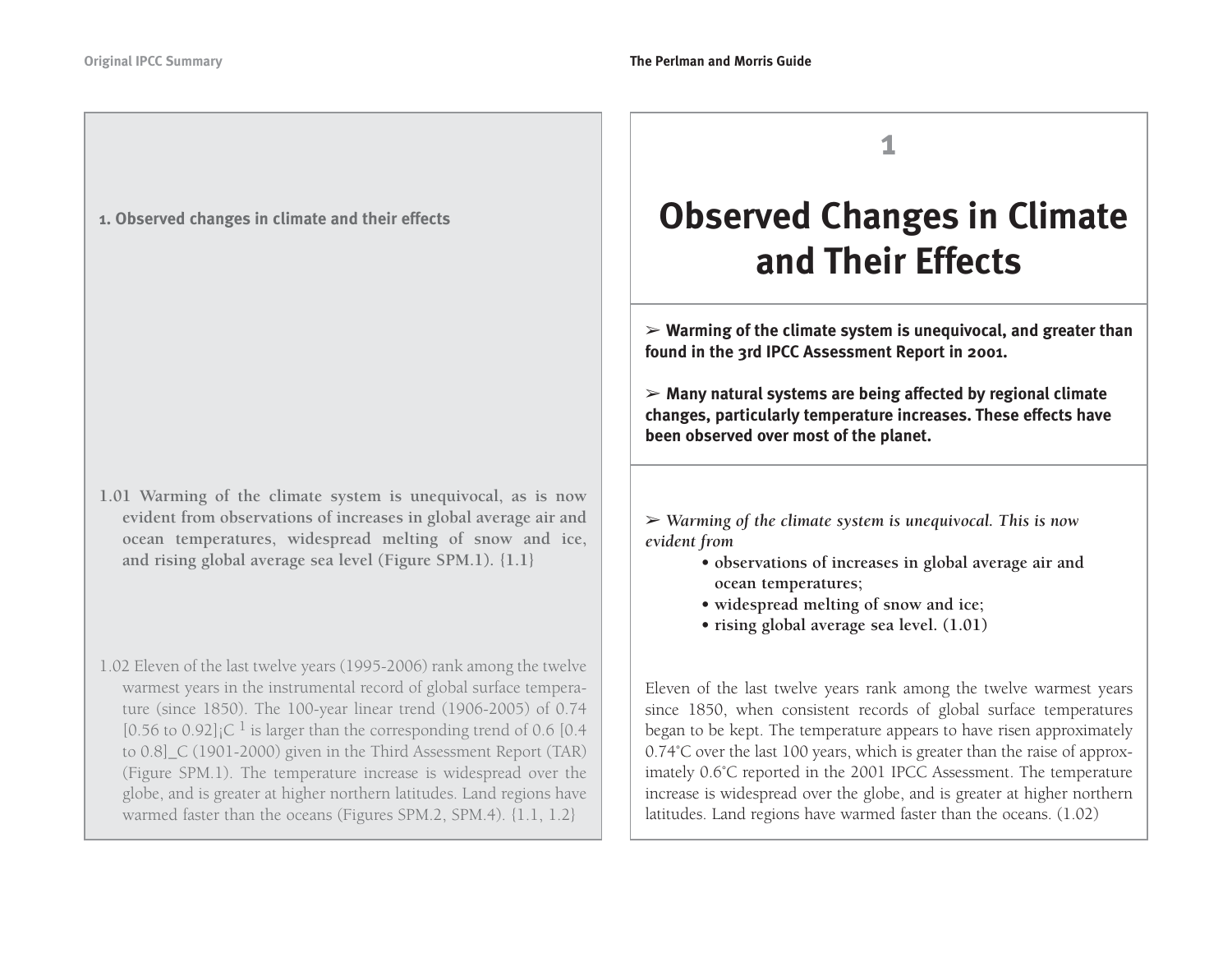### **1. Observed changes in climate and their effects**

- **1.01 Warming of the climate system is unequivocal, as is now evident from observations of increases in global average air and ocean temperatures, widespread melting of snow and ice, and rising global average sea level (Figure SPM.1). {1.1}**
- 1.02 Eleven of the last twelve years (1995-2006) rank among the twelve warmest years in the instrumental record of global surface temperature (since 1850). The 100-year linear trend (1906-2005) of 0.74 [0.56 to 0.92]<sub>i</sub>C <sup>1</sup> is larger than the corresponding trend of 0.6 [0.4] to 0.8]\_C (1901-2000) given in the Third Assessment Report (TAR) (Figure SPM.1). The temperature increase is widespread over the globe, and is greater at higher northern latitudes. Land regions have warmed faster than the oceans (Figures SPM.2, SPM.4). {1.1, 1.2}

**1**

# **Observed Changes in Climate and Their Effects**

➢ **Warming of the climate system is unequivocal, and greater than found in the 3rd IPCC Assessment Report in 2001.**

➢ **Many natural systems are being affected by regional climate changes, particularly temperature increases. These effects have been observed over most of the planet.**

➢ *Warming of the climate system is unequivocal. This is now evident from* 

- **observations of increases in global average air and ocean temperatures;**
- **widespread melting of snow and ice;**
- **rising global average sea level. (1.01)**

Eleven of the last twelve years rank among the twelve warmest years since 1850, when consistent records of global surface temperatures began to be kept. The temperature appears to have risen approximately 0.74˚C over the last 100 years, which is greater than the raise of approximately 0.6˚C reported in the 2001 IPCC Assessment. The temperature increase is widespread over the globe, and is greater at higher northern latitudes. Land regions have warmed faster than the oceans. (1.02)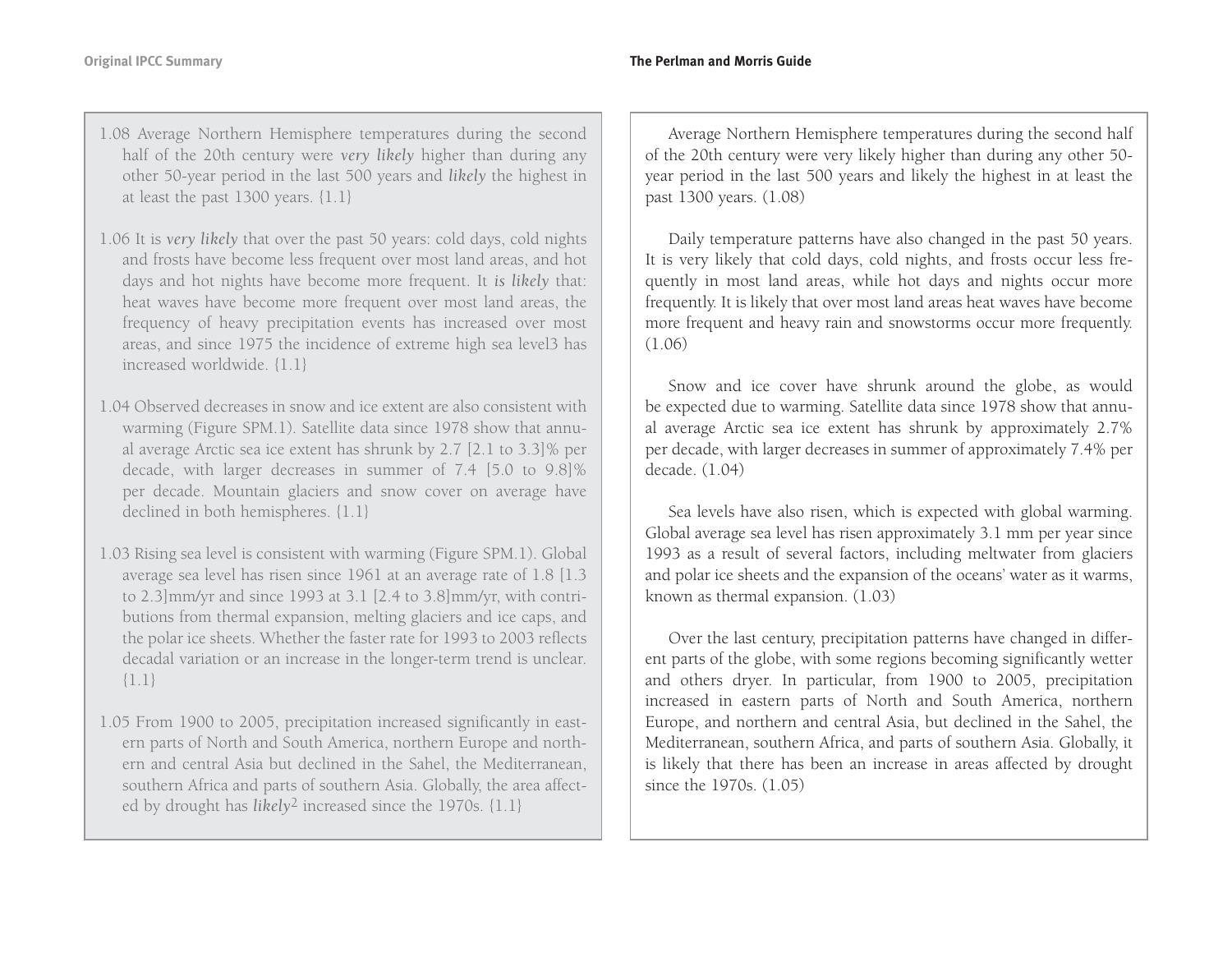- 1.08 Average Northern Hemisphere temperatures during the second half of the 20th century were *very likely* higher than during any other 50-year period in the last 500 years and *likely* the highest in at least the past 1300 years. {1.1}
- 1.06 It is *very likely* that over the past 50 years: cold days, cold nights and frosts have become less frequent over most land areas, and hot days and hot nights have become more frequent. It *is likely* that: heat waves have become more frequent over most land areas, the frequency of heavy precipitation events has increased over most areas, and since 1975 the incidence of extreme high sea level3 has increased worldwide. {1.1}
- 1.04 Observed decreases in snow and ice extent are also consistent withwarming (Figure SPM.1). Satellite data since 1978 show that annual average Arctic sea ice extent has shrunk by 2.7 [2.1 to 3.3]% per decade, with larger decreases in summer of 7.4 [5.0 to 9.8]% per decade. Mountain glaciers and snow cover on average have declined in both hemispheres. {1.1}
- 1.03 Rising sea level is consistent with warming (Figure SPM.1). Global average sea level has risen since 1961 at an average rate of 1.8 [1.3 to 2.3]mm/yr and since 1993 at 3.1 [2.4 to 3.8]mm/yr, with contributions from thermal expansion, melting glaciers and ice caps, and the polar ice sheets. Whether the faster rate for 1993 to 2003 reflects decadal variation or an increase in the longer-term trend is unclear. {1.1}
- 1.05 From 1900 to 2005, precipitation increased significantly in eastern parts of North and South America, northern Europe and northern and central Asia but declined in the Sahel, the Mediterranean, southern Africa and parts of southern Asia. Globally, the area affected by drought has *likely*<sup>2</sup> increased since the 1970s. {1.1}

Average Northern Hemisphere temperatures during the second half of the 20th century were very likely higher than during any other 50 year period in the last 500 years and likely the highest in at least the past 1300 years. (1.08)

Daily temperature patterns have also changed in the past 50 years. It is very likely that cold days, cold nights, and frosts occur less frequently in most land areas, while hot days and nights occur more frequently. It is likely that over most land areas heat waves have become more frequent and heavy rain and snowstorms occur more frequently. (1.06)

Snow and ice cover have shrunk around the globe, as would be expected due to warming. Satellite data since 1978 show that annual average Arctic sea ice extent has shrunk by approximately 2.7% per decade, with larger decreases in summer of approximately 7.4% per decade. (1.04)

Sea levels have also risen, which is expected with global warming. Global average sea level has risen approximately 3.1 mm per year since 1993 as a result of several factors, including meltwater from glaciers and polar ice sheets and the expansion of the oceans' water as it warms, known as thermal expansion. (1.03)

Over the last century, precipitation patterns have changed in different parts of the globe, with some regions becoming significantly wetter and others dryer. In particular, from 1900 to 2005, precipitation increased in eastern parts of North and South America, northern Europe, and northern and central Asia, but declined in the Sahel, the Mediterranean, southern Africa, and parts of southern Asia. Globally, it is likely that there has been an increase in areas affected by drought since the 1970s. (1.05)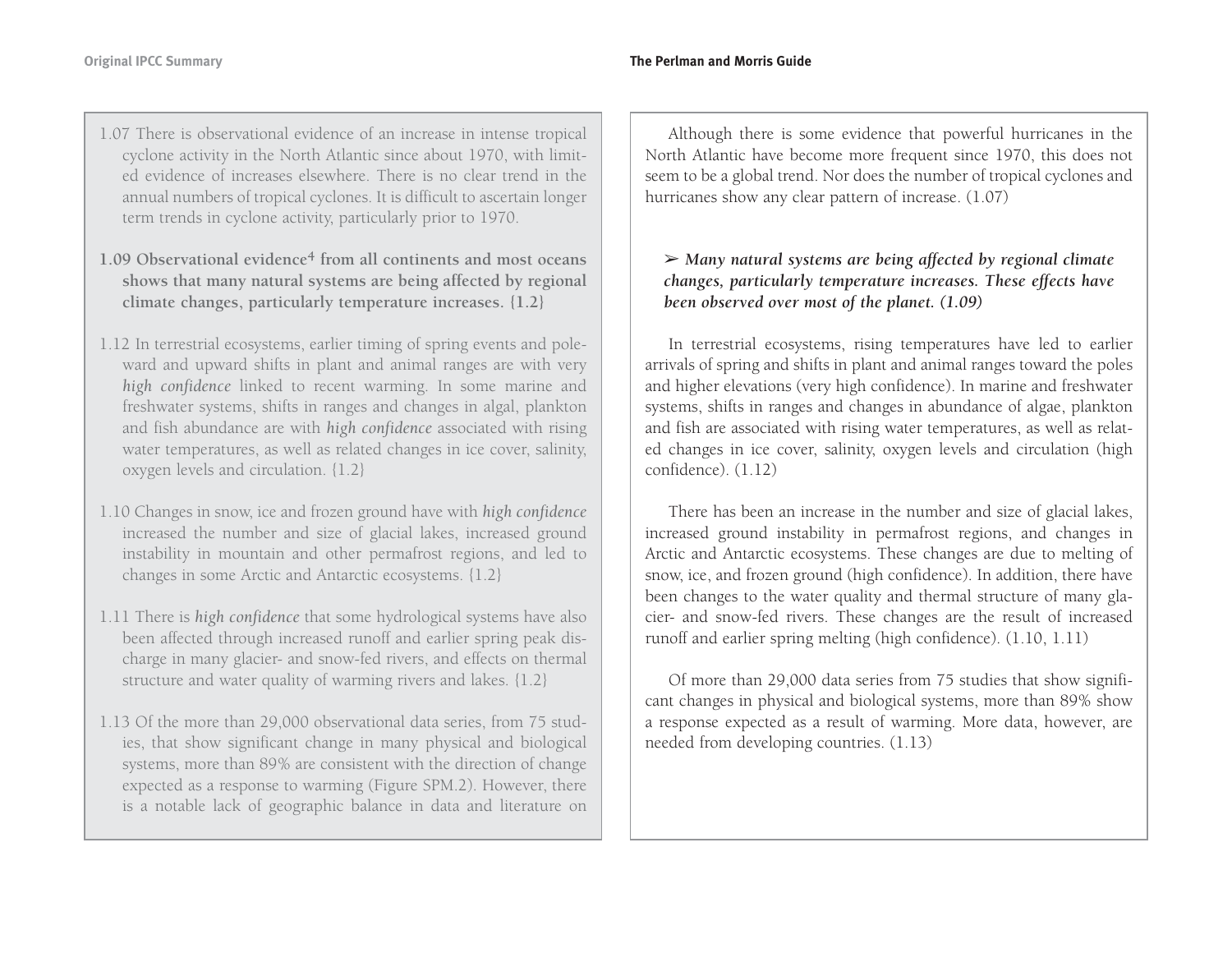- 1.07 There is observational evidence of an increase in intense tropical cyclone activity in the North Atlantic since about 1970, with limited evidence of increases elsewhere. There is no clear trend in theannual numbers of tropical cyclones. It is difficult to ascertain longer term trends in cyclone activity, particularly prior to 1970.
- **1.09 Observational evidence<sup>4</sup> from all continents and most oceansshows that many natural systems are being affected by regional climate changes, particularly temperature increases. {1.2}**
- 1.12 In terrestrial ecosystems, earlier timing of spring events and poleward and upward shifts in plant and animal ranges are with very *high confidence* linked to recent warming. In some marine and freshwater systems, shifts in ranges and changes in algal, plankton and fish abundance are with *high confidence* associated with rising water temperatures, as well as related changes in ice cover, salinity, oxygen levels and circulation. {1.2}
- 1.10 Changes in snow, ice and frozen ground have with *high confidence* increased the number and size of glacial lakes, increased ground instability in mountain and other permafrost regions, and led to changes in some Arctic and Antarctic ecosystems. {1.2}
- 1.11 There is *high confidence* that some hydrological systems have also been affected through increased runoff and earlier spring peak discharge in many glacier- and snow-fed rivers, and effects on thermal structure and water quality of warming rivers and lakes. {1.2}
- 1.13 Of the more than 29,000 observational data series, from 75 studies, that show significant change in many physical and biological systems, more than 89% are consistent with the direction of change expected as a response to warming (Figure SPM.2). However, there is a notable lack of geographic balance in data and literature on

Although there is some evidence that powerful hurricanes in the North Atlantic have become more frequent since 1970, this does not seem to be a global trend. Nor does the number of tropical cyclones and hurricanes show any clear pattern of increase. (1.07)

➢ *Many natural systems are being affected by regional climate changes, particularly temperature increases. These effects have been observed over most of the planet. (1.09)*

In terrestrial ecosystems, rising temperatures have led to earlier arrivals of spring and shifts in plant and animal ranges toward the poles and higher elevations (very high confidence). In marine and freshwater systems, shifts in ranges and changes in abundance of algae, plankton and fish are associated with rising water temperatures, as well as related changes in ice cover, salinity, oxygen levels and circulation (high confidence). (1.12)

There has been an increase in the number and size of glacial lakes, increased ground instability in permafrost regions, and changes in Arctic and Antarctic ecosystems. These changes are due to melting of snow, ice, and frozen ground (high confidence). In addition, there have been changes to the water quality and thermal structure of many glacier- and snow-fed rivers. These changes are the result of increased runoff and earlier spring melting (high confidence). (1.10, 1.11)

Of more than 29,000 data series from 75 studies that show significant changes in physical and biological systems, more than 89% show a response expected as a result of warming. More data, however, are needed from developing countries. (1.13)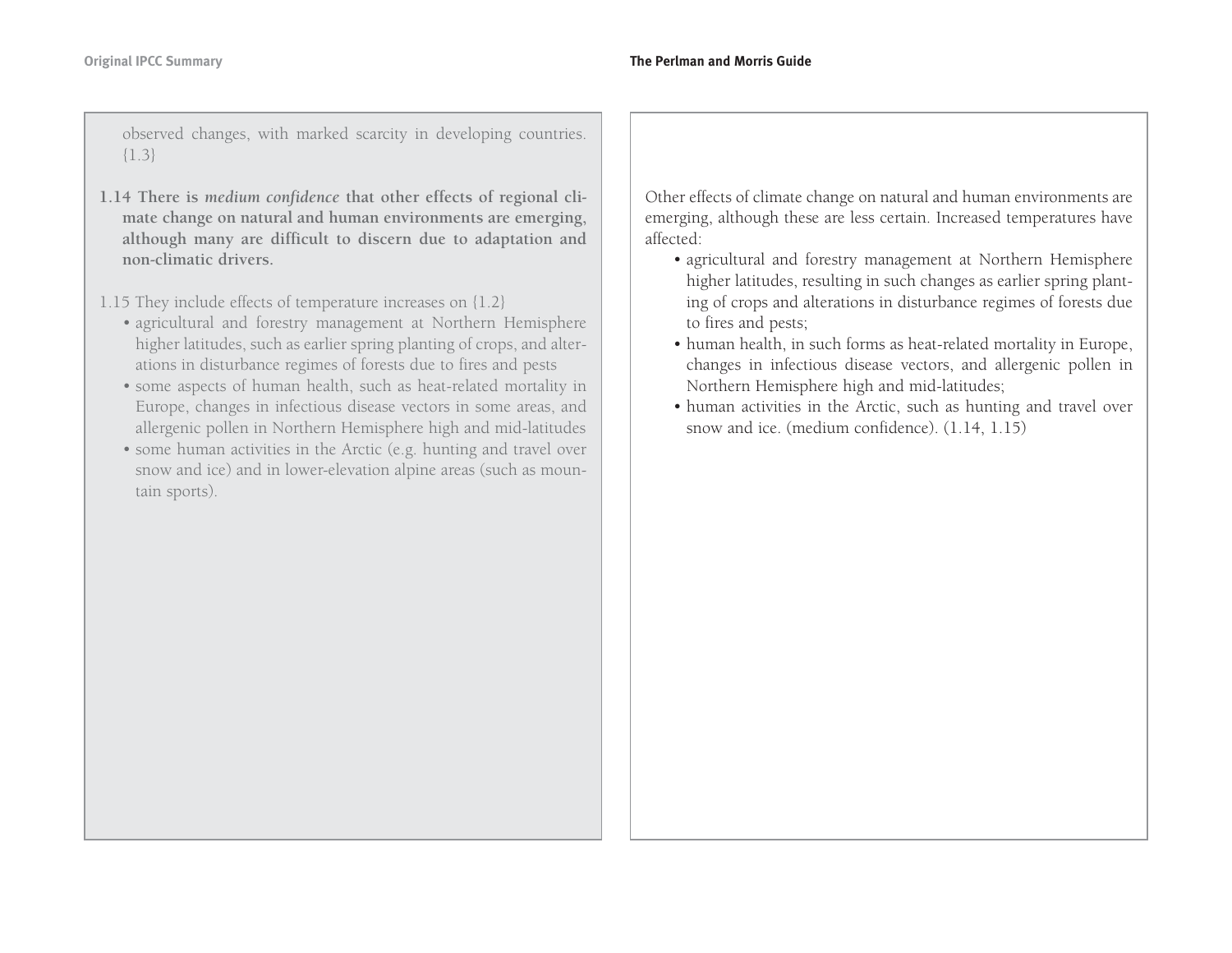observed changes, with marked scarcity in developing countries. {1.3}

- **1.14 There is** *medium confidence* **that other effects of regional climate change on natural and human environments are emerging, although many are difficult to discern due to adaptation and non-climatic drivers.**
- 1.15 They include effects of temperature increases on {1.2}
	- agricultural and forestry management at Northern Hemisphere higher latitudes, such as earlier spring planting of crops, and alterations in disturbance regimes of forests due to fires and pests
	- some aspects of human health, such as heat-related mortality in Europe, changes in infectious disease vectors in some areas, and allergenic pollen in Northern Hemisphere high and mid-latitudes
	- some human activities in the Arctic (e.g. hunting and travel over snow and ice) and in lower-elevation alpine areas (such as mountain sports).

Other effects of climate change on natural and human environments are emerging, although these are less certain. Increased temperatures have affected:

- agricultural and forestry management at Northern Hemisphere higher latitudes, resulting in such changes as earlier spring planting of crops and alterations in disturbance regimes of forests due to fires and pests;
- human health, in such forms as heat-related mortality in Europe, changes in infectious disease vectors, and allergenic pollen in Northern Hemisphere high and mid-latitudes;
- human activities in the Arctic, such as hunting and travel over snow and ice. (medium confidence). (1.14, 1.15)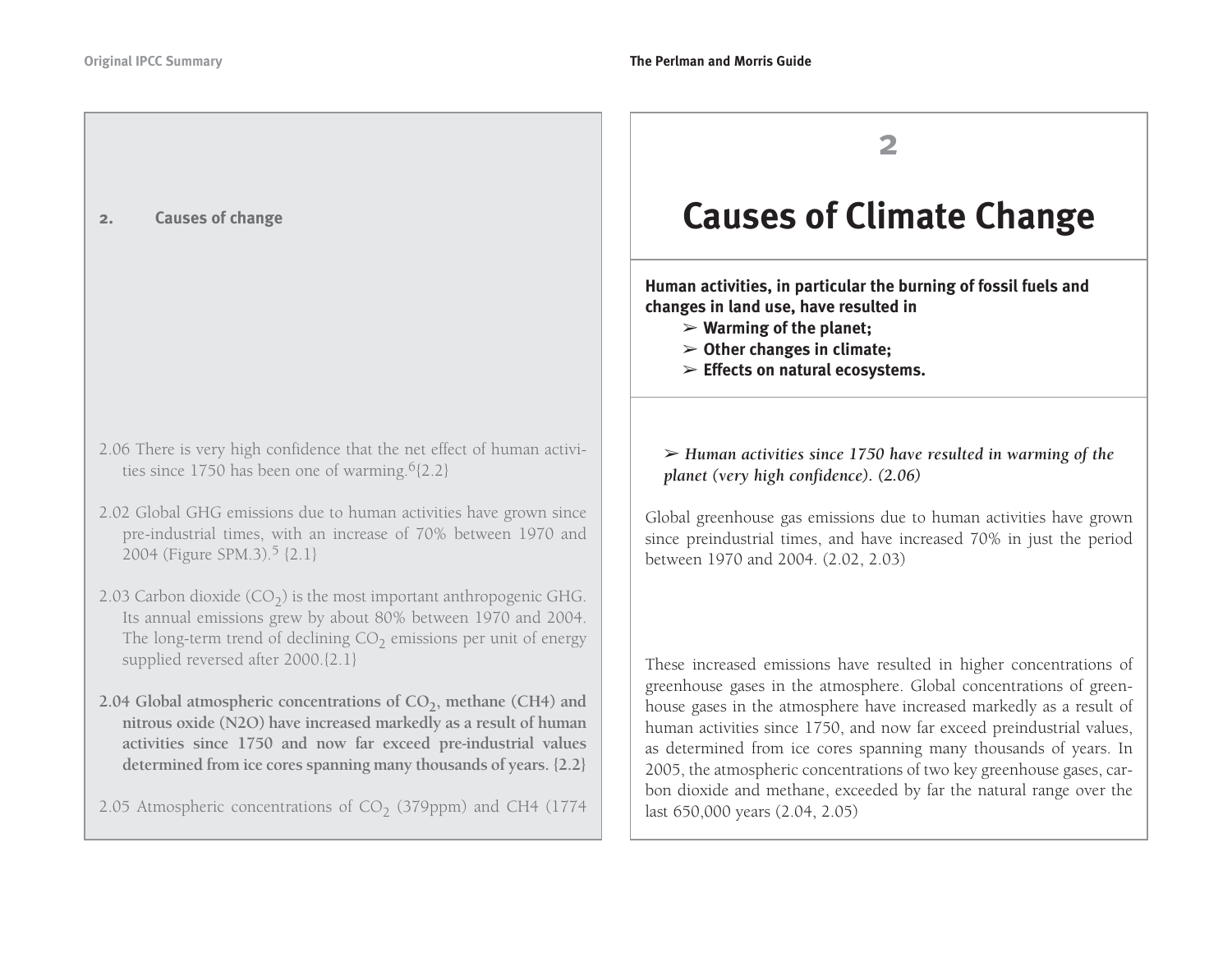### **2. Causes of change**

- 2.06 There is very high confidence that the net effect of human activities since 1750 has been one of warming. $6{2.2}$
- 2.02 Global GHG emissions due to human activities have grown since pre-industrial times, with an increase of 70% between 1970 and 2004 (Figure SPM.3).5 {2.1}
- 2.03 Carbon dioxide  $(CO<sub>2</sub>)$  is the most important anthropogenic GHG. Its annual emissions grew by about 80% between 1970 and 2004. The long-term trend of declining CO $_2$  emissions per unit of energy supplied reversed after 2000.{2.1}
- 2.04 Global atmospheric concentrations of CO<sub>2</sub>, methane (CH4) and **nitrous oxide (N2O) have increased markedly as a result of human activities since 1750 and now far exceed pre-industrial values determined from ice cores spanning many thousands of years. {2.2}**
- 2.05 Atmospheric concentrations of CO $_2$  (379ppm) and CH4 (1774  $\,$

## **2**

# **Causes of Climate Change**

**Human activities, in particular the burning of fossil fuels and changes in land use, have resulted in** 

- ➢ **Warming of the planet;**
- ➢ **Other changes in climate;**
- ➢ **Effects on natural ecosystems.**

➢ *Human activities since 1750 have resulted in warming of the planet (very high confidence). (2.06)*

Global greenhouse gas emissions due to human activities have grown since preindustrial times, and have increased 70% in just the period between 1970 and 2004. (2.02, 2.03)

These increased emissions have resulted in higher concentrations of greenhouse gases in the atmosphere. Global concentrations of greenhouse gases in the atmosphere have increased markedly as a result of human activities since 1750, and now far exceed preindustrial values, as determined from ice cores spanning many thousands of years. In 2005, the atmospheric concentrations of two key greenhouse gases, carbon dioxide and methane, exceeded by far the natural range over the last 650,000 years (2.04, 2.05)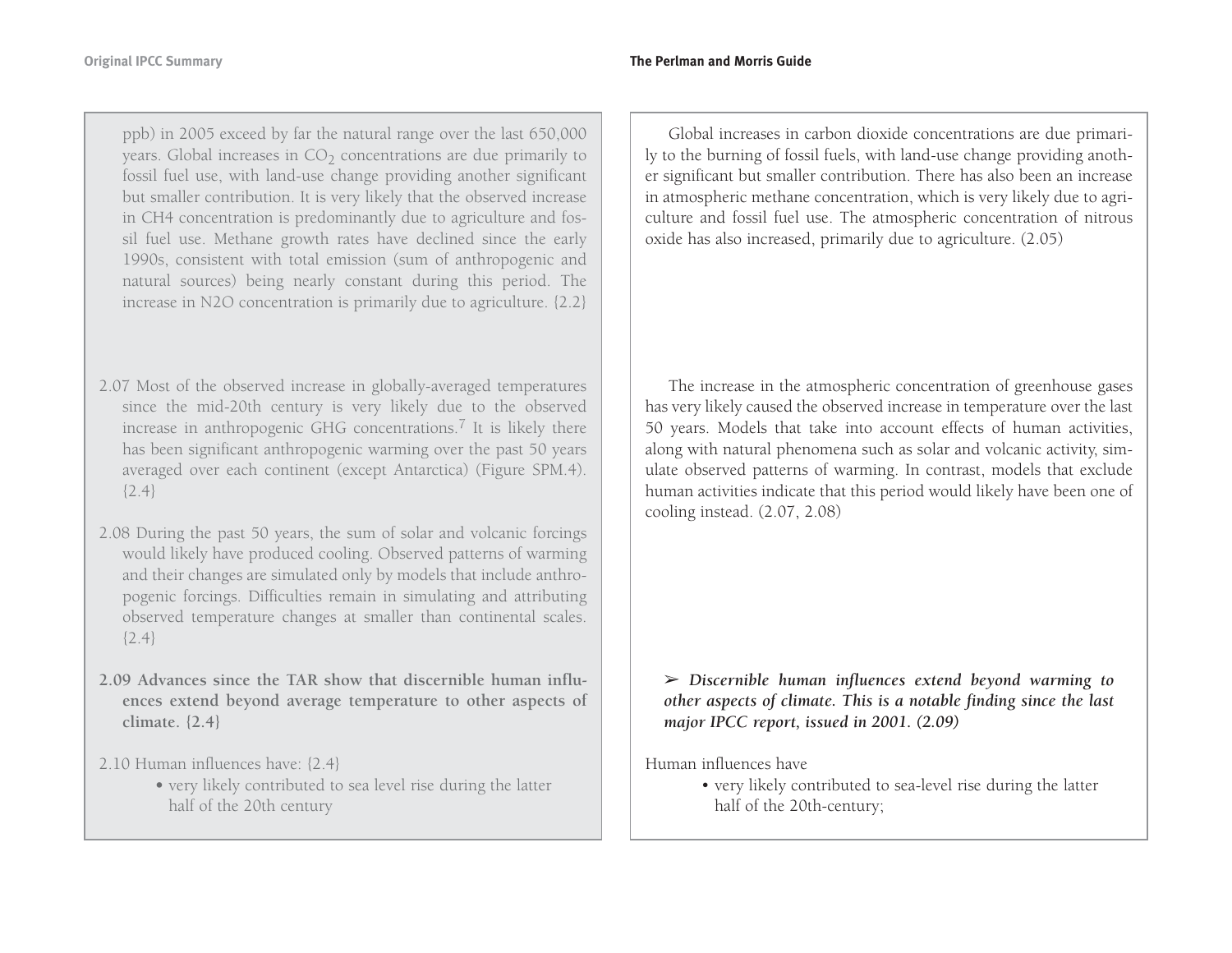ppb) in 2005 exceed by far the natural range over the last 650,000 years. Global increases in CO $_2$  concentrations are due primarily to fossil fuel use, with land-use change providing another significant but smaller contribution. It is very likely that the observed increase in CH4 concentration is predominantly due to agriculture and fossil fuel use. Methane growth rates have declined since the early 1990s, consistent with total emission (sum of anthropogenic and natural sources) being nearly constant during this period. The increase in N2O concentration is primarily due to agriculture. {2.2}

- 2.07 Most of the observed increase in globally-averaged temperatures since the mid-20th century is very likely due to the observed increase in anthropogenic GHG concentrations.<sup>7</sup> It is likely there has been significant anthropogenic warming over the past 50 years averaged over each continent (except Antarctica) (Figure SPM.4).  ${2.4}$
- 2.08 During the past 50 years, the sum of solar and volcanic forcings would likely have produced cooling. Observed patterns of warming and their changes are simulated only by models that include anthropogenic forcings. Difficulties remain in simulating and attributing observed temperature changes at smaller than continental scales.  ${2.4}$
- **2.09 Advances since the TAR show that discernible human influences extend beyond average temperature to other aspects of climate. {2.4}**

2.10 Human influences have: {2.4}

**•** very likely contributed to sea level rise during the latter half of the 20th century

Global increases in carbon dioxide concentrations are due primarily to the burning of fossil fuels, with land-use change providing another significant but smaller contribution. There has also been an increase in atmospheric methane concentration, which is very likely due to agriculture and fossil fuel use. The atmospheric concentration of nitrous oxide has also increased, primarily due to agriculture. (2.05)

The increase in the atmospheric concentration of greenhouse gases has very likely caused the observed increase in temperature over the last 50 years. Models that take into account effects of human activities, along with natural phenomena such as solar and volcanic activity, simulate observed patterns of warming. In contrast, models that exclude human activities indicate that this period would likely have been one of cooling instead. (2.07, 2.08)

➢ *Discernible human influences extend beyond warming to other aspects of climate. This is a notable finding since the last major IPCC report, issued in 2001. (2.09)* 

Human influences have

• very likely contributed to sea-level rise during the latter half of the 20th-century;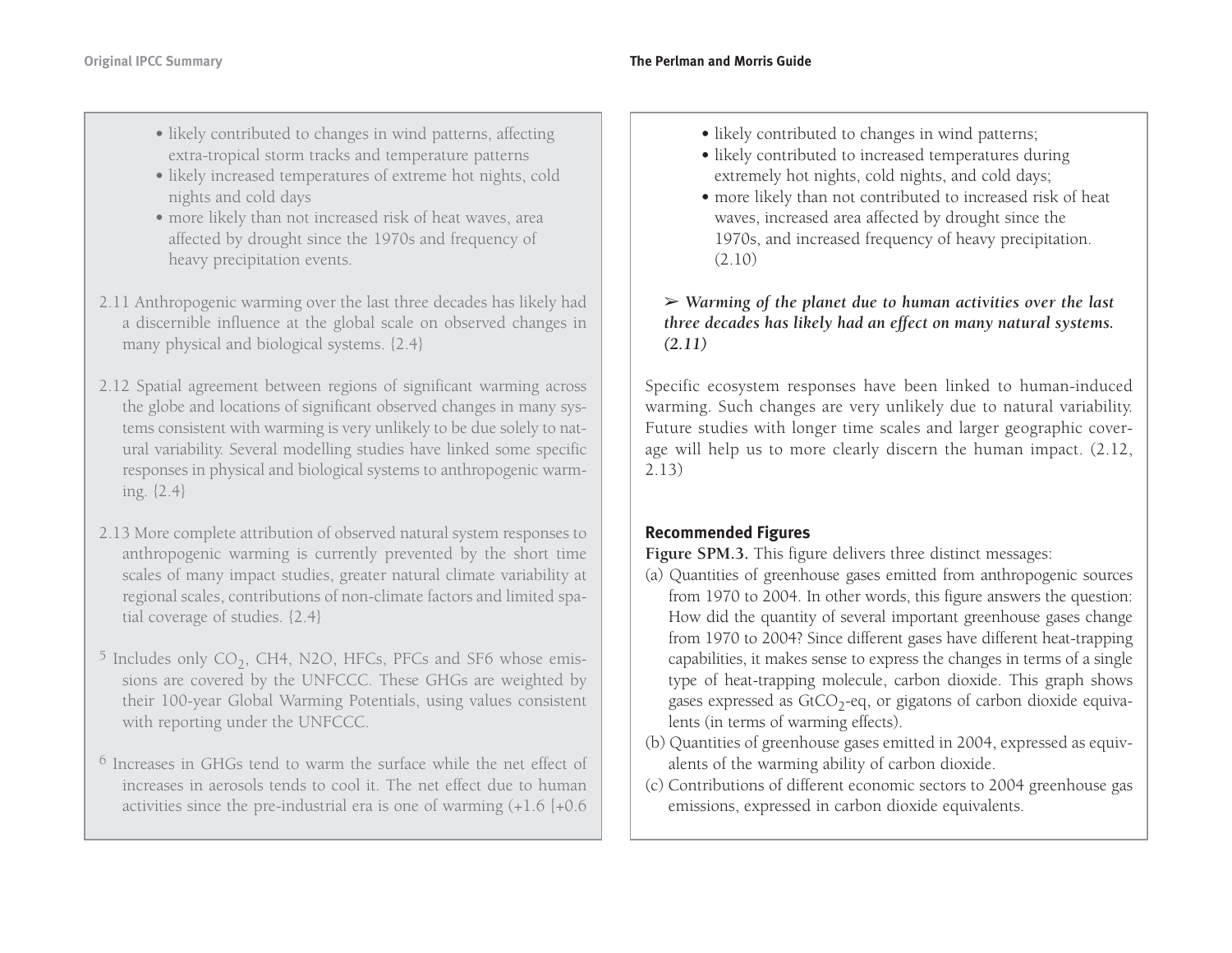- likely contributed to changes in wind patterns, affecting extra-tropical storm tracks and temperature patterns
- likely increased temperatures of extreme hot nights, cold nights and cold days
- more likely than not increased risk of heat waves, area affected by drought since the 1970s and frequency of heavy precipitation events.
- 2.11 Anthropogenic warming over the last three decades has likely had a discernible influence at the global scale on observed changes in many physical and biological systems. {2.4}
- 2.12 Spatial agreement between regions of significant warming across the globe and locations of significant observed changes in many systems consistent with warming is very unlikely to be due solely to natural variability. Several modelling studies have linked some specific responses in physical and biological systems to anthropogenic warming. {2.4}
- 2.13 More complete attribution of observed natural system responses to anthropogenic warming is currently prevented by the short time scales of many impact studies, greater natural climate variability at regional scales, contributions of non-climate factors and limited spatial coverage of studies. {2.4}
- $^5$  Includes only CO<sub>2</sub>, CH4, N2O, HFCs, PFCs and SF6 whose emissions are covered by the UNFCCC. These GHGs are weighted by their 100-year Global Warming Potentials, using values consistent with reporting under the UNFCCC.
- $^6$  Increases in GHGs tend to warm the surface while the net effect of increases in aerosols tends to cool it. The net effect due to humanactivities since the pre-industrial era is one of warming (+1.6 [+0.6
- likely contributed to changes in wind patterns;
- likely contributed to increased temperatures during extremely hot nights, cold nights, and cold days;
- more likely than not contributed to increased risk of heat waves, increased area affected by drought since the 1970s, and increased frequency of heavy precipitation. (2.10)

### ➢ *Warming of the planet due to human activities over the last three decades has likely had an effect on many natural systems. (2.11)*

Specific ecosystem responses have been linked to human-induced warming. Such changes are very unlikely due to natural variability. Future studies with longer time scales and larger geographic coverage will help us to more clearly discern the human impact. (2.12, 2.13)

### **Recommended Figures**

Figure SPM.3. This figure delivers three distinct messages:

- (a) Quantities of greenhouse gases emitted from anthropogenic sources from 1970 to 2004. In other words, this figure answers the question: How did the quantity of several important greenhouse gases change from 1970 to 2004? Since different gases have different heat-trapping capabilities, it makes sense to express the changes in terms of a single type of heat-trapping molecule, carbon dioxide. This graph shows gases expressed as  $GtCO<sub>2</sub>$ -eq, or gigatons of carbon dioxide equivalents (in terms of warming effects).
- (b) Quantities of greenhouse gases emitted in 2004, expressed as equivalents of the warming ability of carbon dioxide.
- (c) Contributions of different economic sectors to 2004 greenhouse gas emissions, expressed in carbon dioxide equivalents.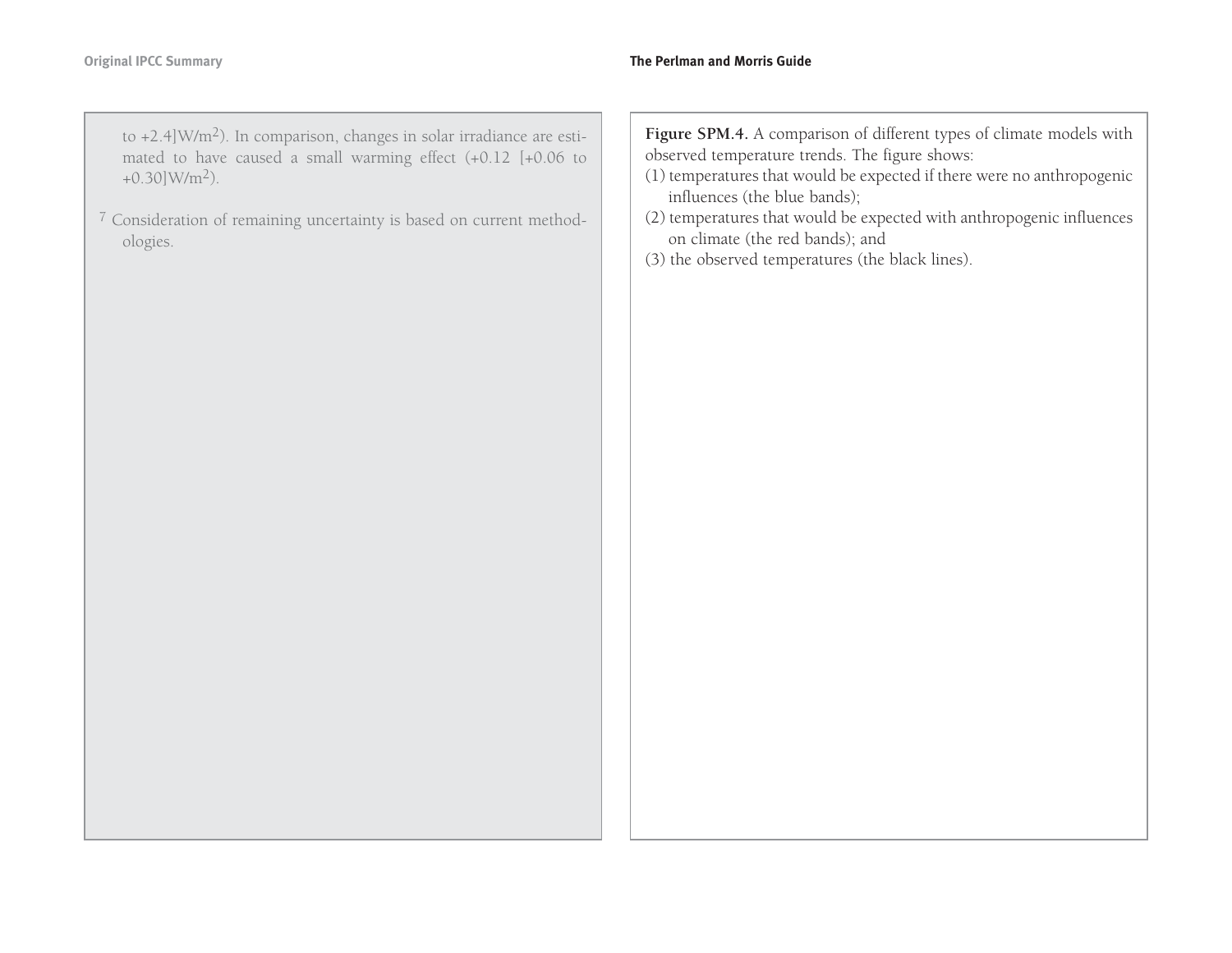to +2.4]W/m2). In comparison, changes in solar irradiance are estimated to have caused a small warming effect (+0.12 [+0.06 to  $+0.30$ ]W/m<sup>2</sup>).

<sup>7</sup> Consideration of remaining uncertainty is based on current methodologies.

**Figure SPM.4.** A comparison of different types of climate models with observed temperature trends. The figure shows:

- (1) temperatures that would be expected if there were no anthropogenic influences (the blue bands);
- (2) temperatures that would be expected with anthropogenic influences on climate (the red bands); and
- (3) the observed temperatures (the black lines).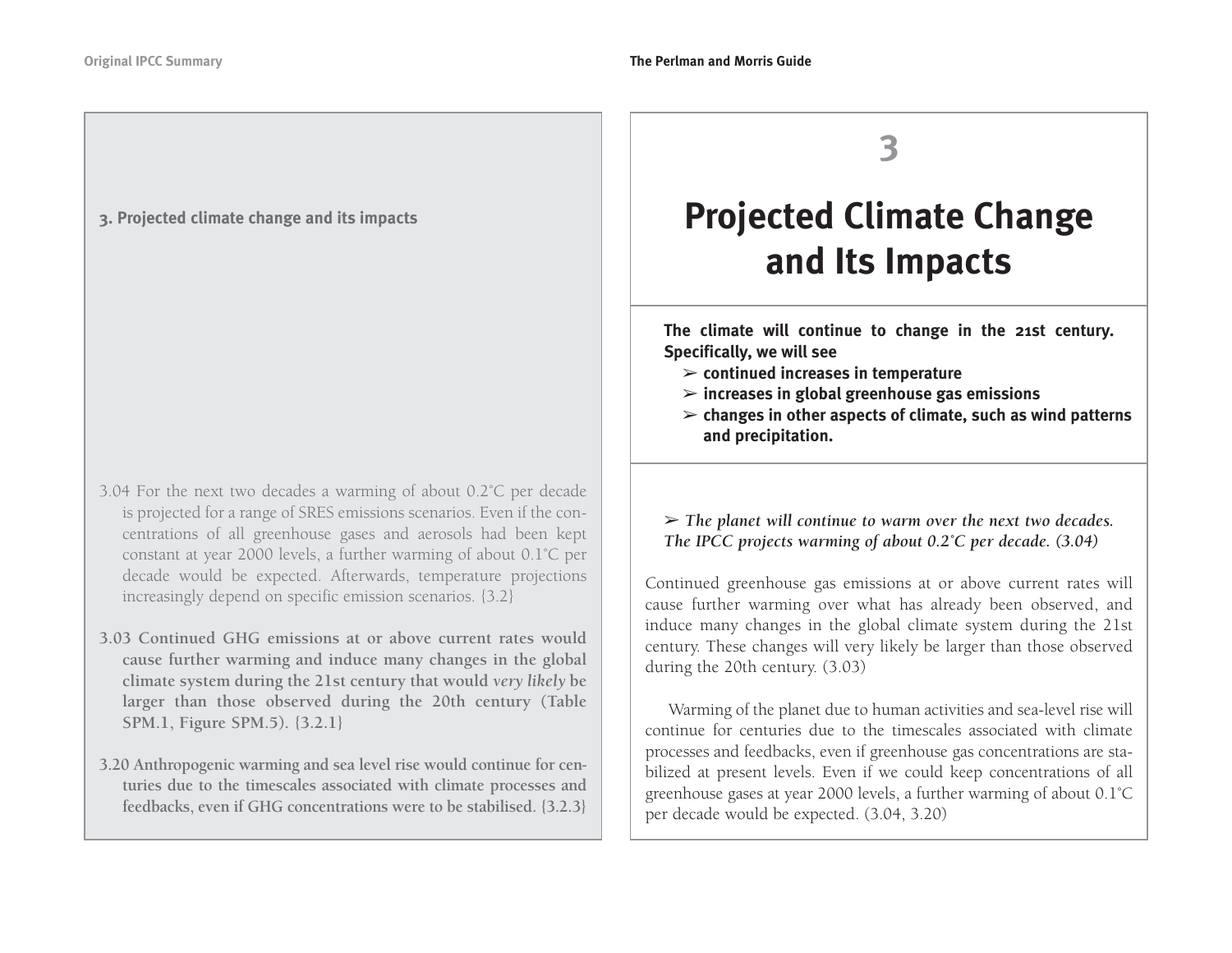#### **3. Projected climate change and its impacts**

- 3.04 For the next two decades a warming of about 0.2˚C per decade is projected for a range of SRES emissions scenarios. Even if the concentrations of all greenhouse gases and aerosols had been kept constant at year 2000 levels, a further warming of about 0.1˚C per decade would be expected. Afterwards, temperature projections increasingly depend on specific emission scenarios. {3.2}
- **3.03 Continued GHG emissions at or above current rates wouldcause further warming and induce many changes in the global climate system during the 21st century that would** *very likely* **be larger than those observed during the 20th century (Table SPM.1, Figure SPM.5). {3.2.1}**
- **3.20 Anthropogenic warming and sea level rise would continue for centuries due to the timescales associated with climate processes and feedbacks, even if GHG concentrations were to be stabilised. {3.2.3}**

**3**

# **Projected Climate Change and Its Impacts**

**The climate will continue to change in the 21st century. Specifically, we will see**

- ➢ **continued increases in temperature**
- ➢ **increases in global greenhouse gas emissions**
- ➢ **changes in other aspects of climate, such as wind patterns and precipitation.**

### ➢ *The planet will continue to warm over the next two decades. The IPCC projects warming of about 0.2˚C per decade. (3.04)*

Continued greenhouse gas emissions at or above current rates will cause further warming over what has already been observed, and induce many changes in the global climate system during the 21st century. These changes will very likely be larger than those observed during the 20th century. (3.03)

Warming of the planet due to human activities and sea-level rise will continue for centuries due to the timescales associated with climateprocesses and feedbacks, even if greenhouse gas concentrations are stabilized at present levels. Even if we could keep concentrations of all greenhouse gases at year 2000 levels, a further warming of about 0.1˚C per decade would be expected. (3.04, 3.20)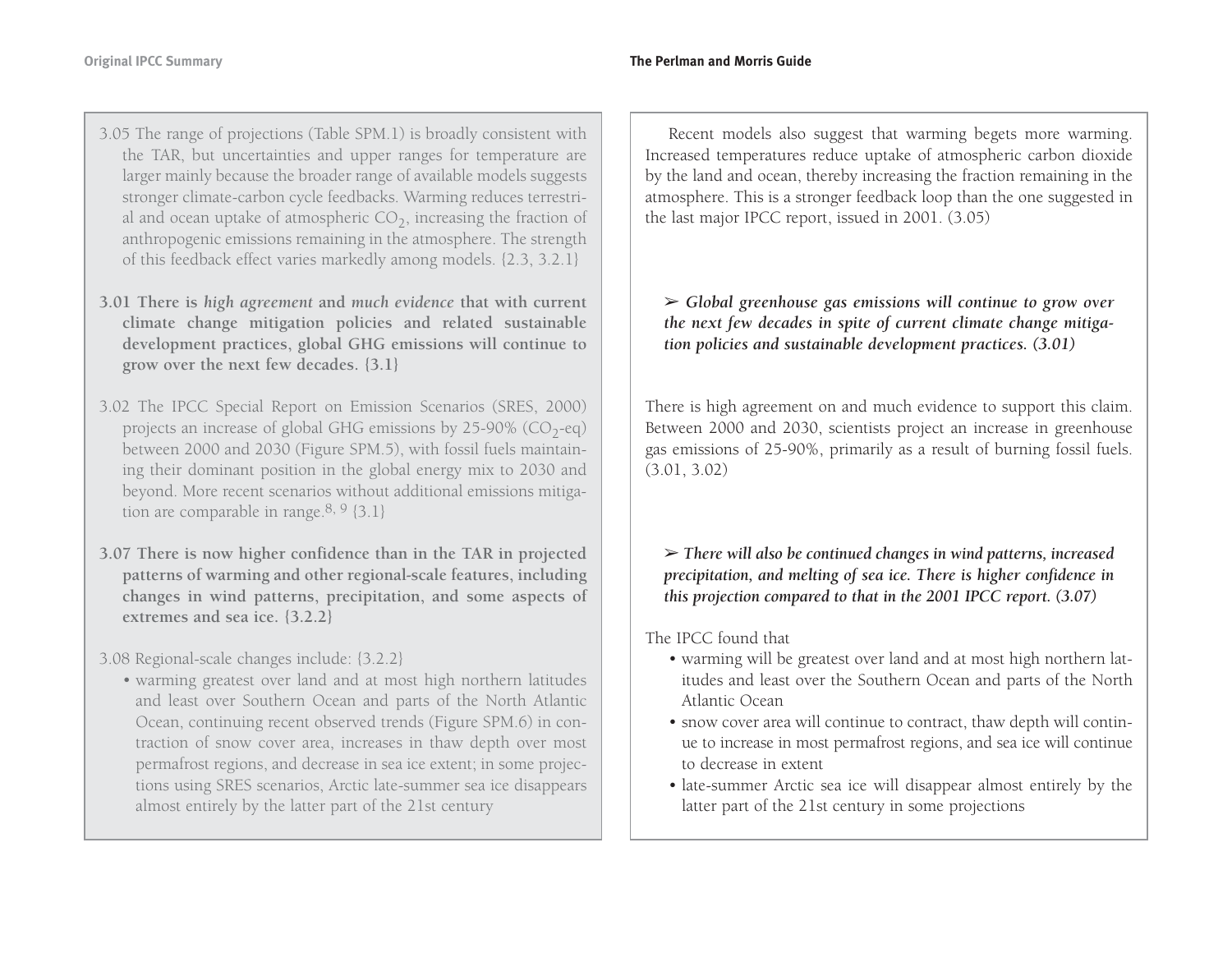- 3.05 The range of projections (Table SPM.1) is broadly consistent with the TAR, but uncertainties and upper ranges for temperature are larger mainly because the broader range of available models suggests stronger climate-carbon cycle feedbacks. Warming reduces terrestrial and ocean uptake of atmospheric  $CO<sub>2</sub>$ , increasing the fraction of anthropogenic emissions remaining in the atmosphere. The strength of this feedback effect varies markedly among models. {2.3, 3.2.1}
- **3.01 There is** *high agreement* **and** *much evidence* **that with current climate change mitigation policies and related sustainable development practices, global GHG emissions will continue to grow over the next few decades. {3.1}**
- 3.02 The IPCC Special Report on Emission Scenarios (SRES, 2000) projects an increase of global GHG emissions by  $25-90\%$  (CO<sub>2</sub>-eq) between 2000 and 2030 (Figure SPM.5), with fossil fuels maintaining their dominant position in the global energy mix to 2030 and beyond. More recent scenarios without additional emissions mitigation are comparable in range.<sup>8, 9</sup> {3.1}
- **3.07 There is now higher confidence than in the TAR in projected patterns of warming and other regional-scale features, including changes in wind patterns, precipitation, and some aspects of extremes and sea ice. {3.2.2}**
- 3.08 Regional-scale changes include: {3.2.2}
	- warming greatest over land and at most high northern latitudes and least over Southern Ocean and parts of the North Atlantic Ocean, continuing recent observed trends (Figure SPM.6) in contraction of snow cover area, increases in thaw depth over most permafrost regions, and decrease in sea ice extent; in some projections using SRES scenarios, Arctic late-summer sea ice disappears almost entirely by the latter part of the 21st century

Recent models also suggest that warming begets more warming. Increased temperatures reduce uptake of atmospheric carbon dioxide by the land and ocean, thereby increasing the fraction remaining in the atmosphere. This is a stronger feedback loop than the one suggested in the last major IPCC report, issued in 2001. (3.05)

➢ *Global greenhouse gas emissions will continue to grow over the next few decades in spite of current climate change mitigation policies and sustainable development practices. (3.01)*

There is high agreement on and much evidence to support this claim. Between 2000 and 2030, scientists project an increase in greenhouse gas emissions of 25-90%, primarily as a result of burning fossil fuels. (3.01, 3.02)

➢ *There will also be continued changes in wind patterns, increased precipitation, and melting of sea ice. There is higher confidence in this projection compared to that in the 2001 IPCC report. (3.07)*

The IPCC found that

- warming will be greatest over land and at most high northern latitudes and least over the Southern Ocean and parts of the North Atlantic Ocean
- snow cover area will continue to contract, thaw depth will continue to increase in most permafrost regions, and sea ice will continue to decrease in extent
- late-summer Arctic sea ice will disappear almost entirely by the latter part of the 21st century in some projections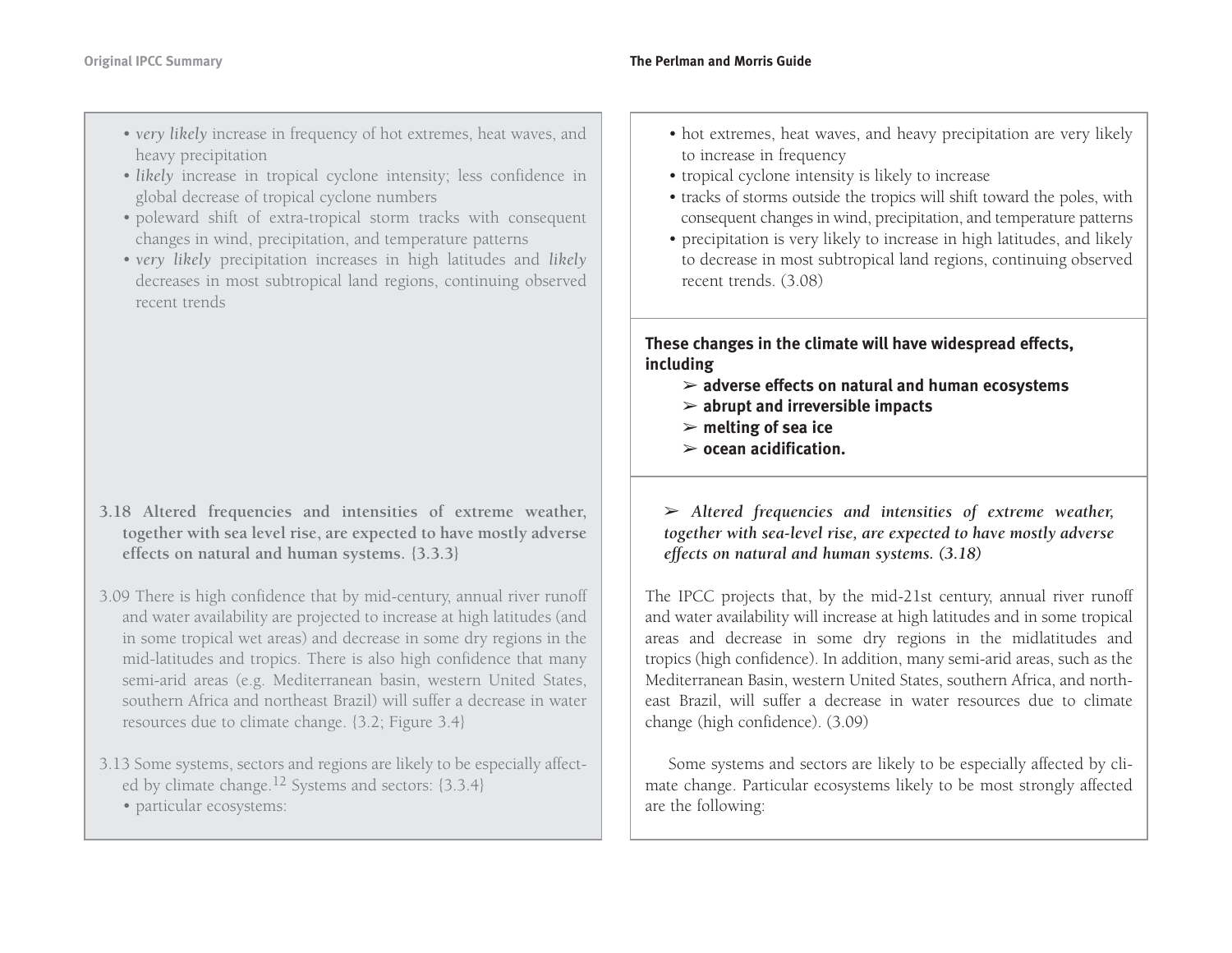- *very likely* increase in frequency of hot extremes, heat waves, and heavy precipitation
- *likely* increase in tropical cyclone intensity; less confidence in global decrease of tropical cyclone numbers
- poleward shift of extra-tropical storm tracks with consequent changes in wind, precipitation, and temperature patterns
- *very likely* precipitation increases in high latitudes and *likely* decreases in most subtropical land regions, continuing observed recent trends

- **3.18 Altered frequencies and intensities of extreme weather, together with sea level rise, are expected to have mostly adverse effects on natural and human systems. {3.3.3}**
- 3.09 There is high confidence that by mid-century, annual river runoff and water availability are projected to increase at high latitudes (and in some tropical wet areas) and decrease in some dry regions in the mid-latitudes and tropics. There is also high confidence that many semi-arid areas (e.g. Mediterranean basin, western United States, southern Africa and northeast Brazil) will suffer a decrease in water resources due to climate change. {3.2; Figure 3.4}
- 3.13 Some systems, sectors and regions are likely to be especially affected by climate change.<sup>12</sup> Systems and sectors: {3.3.4}
	- particular ecosystems:
- hot extremes, heat waves, and heavy precipitation are very likely to increase in frequency
- tropical cyclone intensity is likely to increase
- tracks of storms outside the tropics will shift toward the poles, with consequent changes in wind, precipitation, and temperature patterns
- precipitation is very likely to increase in high latitudes, and likely to decrease in most subtropical land regions, continuing observed recent trends. (3.08)

**These changes in the climate will have widespread effects, including**

- ➢ **adverse effects on natural and human ecosystems**
- ➢ **abrupt and irreversible impacts**
- ➢ **melting of sea ice**
- ➢ **ocean acidification.**

➢ *Altered frequencies and intensities of extreme weather, together with sea-level rise, are expected to have mostly adverse effects on natural and human systems. (3.18)*

The IPCC projects that, by the mid-21st century, annual river runoff and water availability will increase at high latitudes and in some tropical areas and decrease in some dry regions in the midlatitudes and tropics (high confidence). In addition, many semi-arid areas, such as the Mediterranean Basin, western United States, southern Africa, and northeast Brazil, will suffer a decrease in water resources due to climate change (high confidence). (3.09)

Some systems and sectors are likely to be especially affected by climate change. Particular ecosystems likely to be most strongly affected are the following: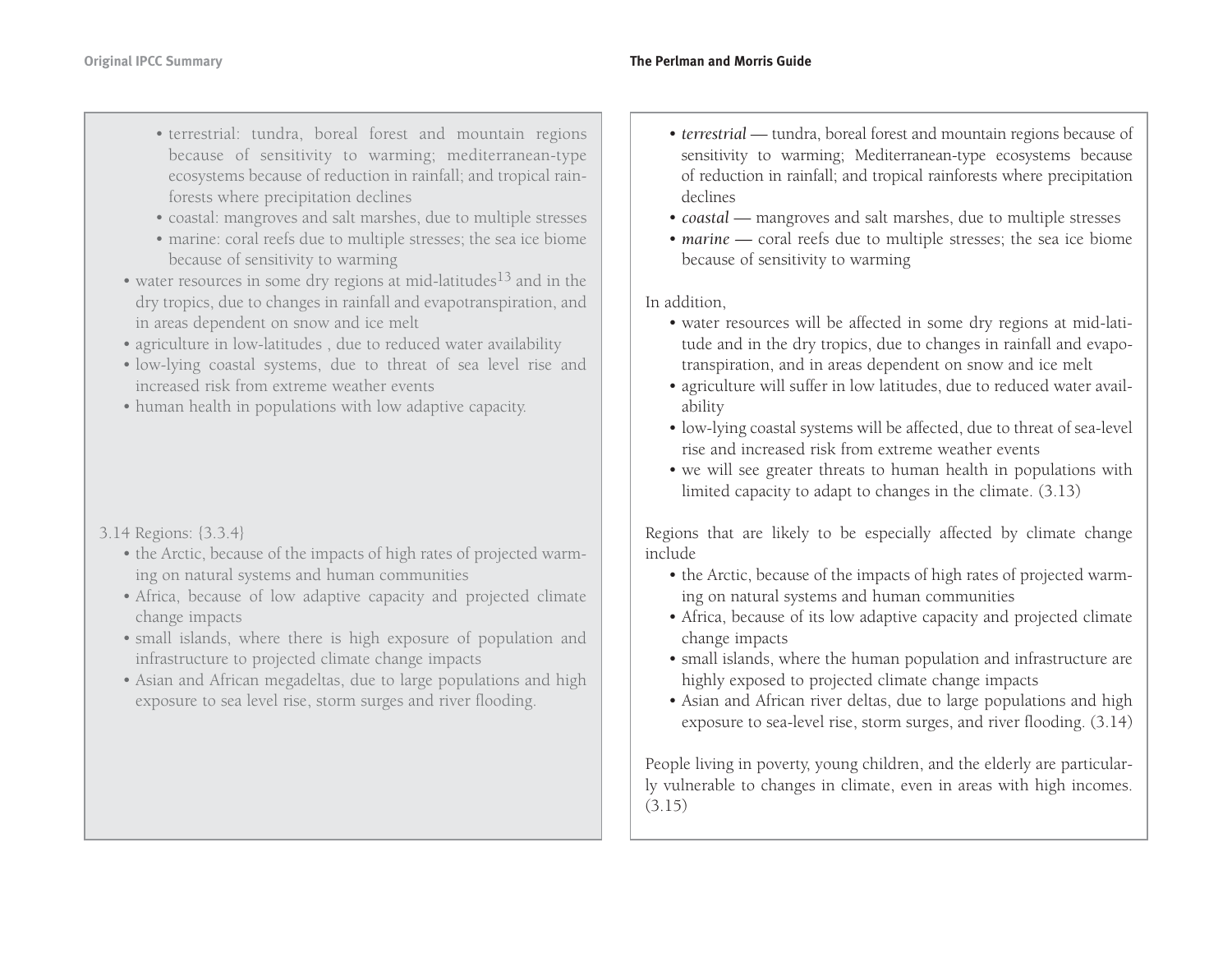- terrestrial: tundra, boreal forest and mountain regions because of sensitivity to warming; mediterranean-type ecosystems because of reduction in rainfall; and tropical rainforests where precipitation declines
- coastal: mangroves and salt marshes, due to multiple stresses
- marine: coral reefs due to multiple stresses; the sea ice biome because of sensitivity to warming
- water resources in some dry regions at mid-latitudes<sup>13</sup> and in the dry tropics, due to changes in rainfall and evapotranspiration, and in areas dependent on snow and ice melt
- agriculture in low-latitudes , due to reduced water availability
- low-lying coastal systems, due to threat of sea level rise and increased risk from extreme weather events
- human health in populations with low adaptive capacity.

### 3.14 Regions: {3.3.4}

- the Arctic, because of the impacts of high rates of projected warming on natural systems and human communities
- Africa, because of low adaptive capacity and projected climate change impacts
- small islands, where there is high exposure of population and infrastructure to projected climate change impacts
- Asian and African megadeltas, due to large populations and high exposure to sea level rise, storm surges and river flooding.
- *terrestrial* tundra, boreal forest and mountain regions because of sensitivity to warming; Mediterranean-type ecosystems because of reduction in rainfall; and tropical rainforests where precipitation declines
- *coastal* mangroves and salt marshes, due to multiple stresses
- *marine —* coral reefs due to multiple stresses; the sea ice biome because of sensitivity to warming

In addition,

- water resources will be affected in some dry regions at mid-latitude and in the dry tropics, due to changes in rainfall and evapotranspiration, and in areas dependent on snow and ice melt
- agriculture will suffer in low latitudes, due to reduced water availability
- low-lying coastal systems will be affected, due to threat of sea-level rise and increased risk from extreme weather events
- we will see greater threats to human health in populations with limited capacity to adapt to changes in the climate. (3.13)

Regions that are likely to be especially affected by climate change include

- the Arctic, because of the impacts of high rates of projected warming on natural systems and human communities
- Africa, because of its low adaptive capacity and projected climate change impacts
- small islands, where the human population and infrastructure are highly exposed to projected climate change impacts
- Asian and African river deltas, due to large populations and high exposure to sea-level rise, storm surges, and river flooding. (3.14)

People living in poverty, young children, and the elderly are particularly vulnerable to changes in climate, even in areas with high incomes. (3.15)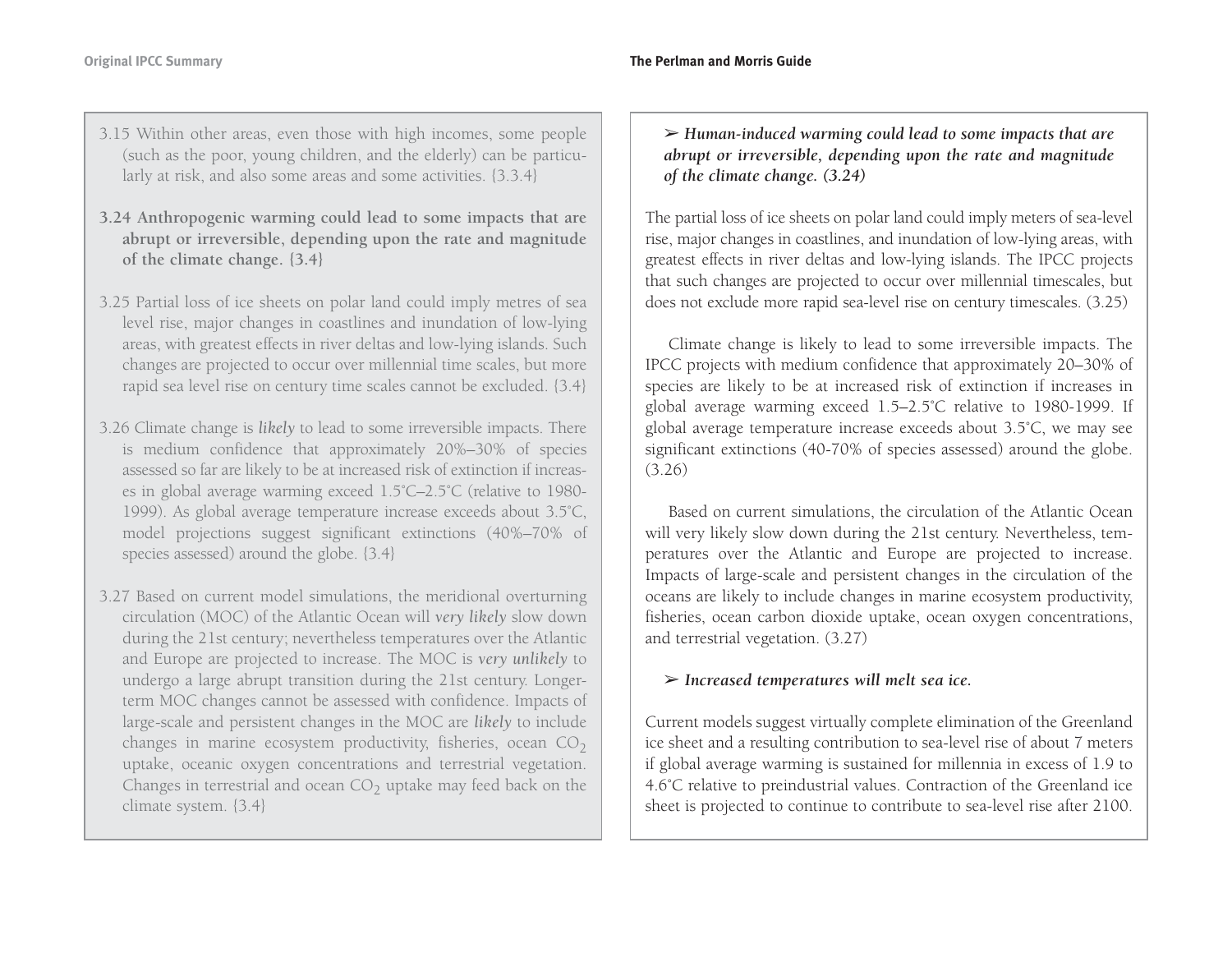- 3.15 Within other areas, even those with high incomes, some people (such as the poor, young children, and the elderly) can be particularly at risk, and also some areas and some activities. {3.3.4}
- **3.24 Anthropogenic warming could lead to some impacts that are abrupt or irreversible, depending upon the rate and magnitude of the climate change. {3.4}**
- 3.25 Partial loss of ice sheets on polar land could imply metres of sea level rise, major changes in coastlines and inundation of low-lying areas, with greatest effects in river deltas and low-lying islands. Such changes are projected to occur over millennial time scales, but more rapid sea level rise on century time scales cannot be excluded. {3.4}
- 3.26 Climate change is *likely* to lead to some irreversible impacts. There is medium confidence that approximately 20%–30% of species assessed so far are likely to be at increased risk of extinction if increases in global average warming exceed 1.5˚C–2.5˚C (relative to 1980- 1999). As global average temperature increase exceeds about 3.5˚C, model projections suggest significant extinctions (40%–70% of species assessed) around the globe. {3.4}
- 3.27 Based on current model simulations, the meridional overturning circulation (MOC) of the Atlantic Ocean will *very likely* slow down during the 21st century; nevertheless temperatures over the Atlantic and Europe are projected to increase. The MOC is *very unlikely* to undergo a large abrupt transition during the 21st century. Longerterm MOC changes cannot be assessed with confidence. Impacts of large-scale and persistent changes in the MOC are *likely* to include changes in marine ecosystem productivity, fisheries, ocean  $CO<sub>2</sub>$  uptake, oceanic oxygen concentrations and terrestrial vegetation. Changes in terrestrial and ocean CO<sub>2</sub> uptake may feed back on the climate system. {3.4}

➢ *Human-induced warming could lead to some impacts that are abrupt or irreversible, depending upon the rate and magnitude of the climate change. (3.24)*

The partial loss of ice sheets on polar land could imply meters of sea-level rise, major changes in coastlines, and inundation of low-lying areas, with greatest effects in river deltas and low-lying islands. The IPCC projects that such changes are projected to occur over millennial timescales, but does not exclude more rapid sea-level rise on century timescales. (3.25)

Climate change is likely to lead to some irreversible impacts. The IPCC projects with medium confidence that approximately 20–30% of species are likely to be at increased risk of extinction if increases in global average warming exceed 1.5–2.5˚C relative to 1980-1999. If global average temperature increase exceeds about 3.5˚C, we may see significant extinctions (40-70% of species assessed) around the globe. (3.26)

Based on current simulations, the circulation of the Atlantic Ocean will very likely slow down during the 21st century. Nevertheless, temperatures over the Atlantic and Europe are projected to increase. Impacts of large-scale and persistent changes in the circulation of the oceans are likely to include changes in marine ecosystem productivity, fisheries, ocean carbon dioxide uptake, ocean oxygen concentrations, and terrestrial vegetation. (3.27)

### ➢ *Increased temperatures will melt sea ice.*

Current models suggest virtually complete elimination of the Greenland ice sheet and a resulting contribution to sea-level rise of about 7 meters if global average warming is sustained for millennia in excess of 1.9 to 4.6˚C relative to preindustrial values. Contraction of the Greenland ice sheet is projected to continue to contribute to sea-level rise after 2100.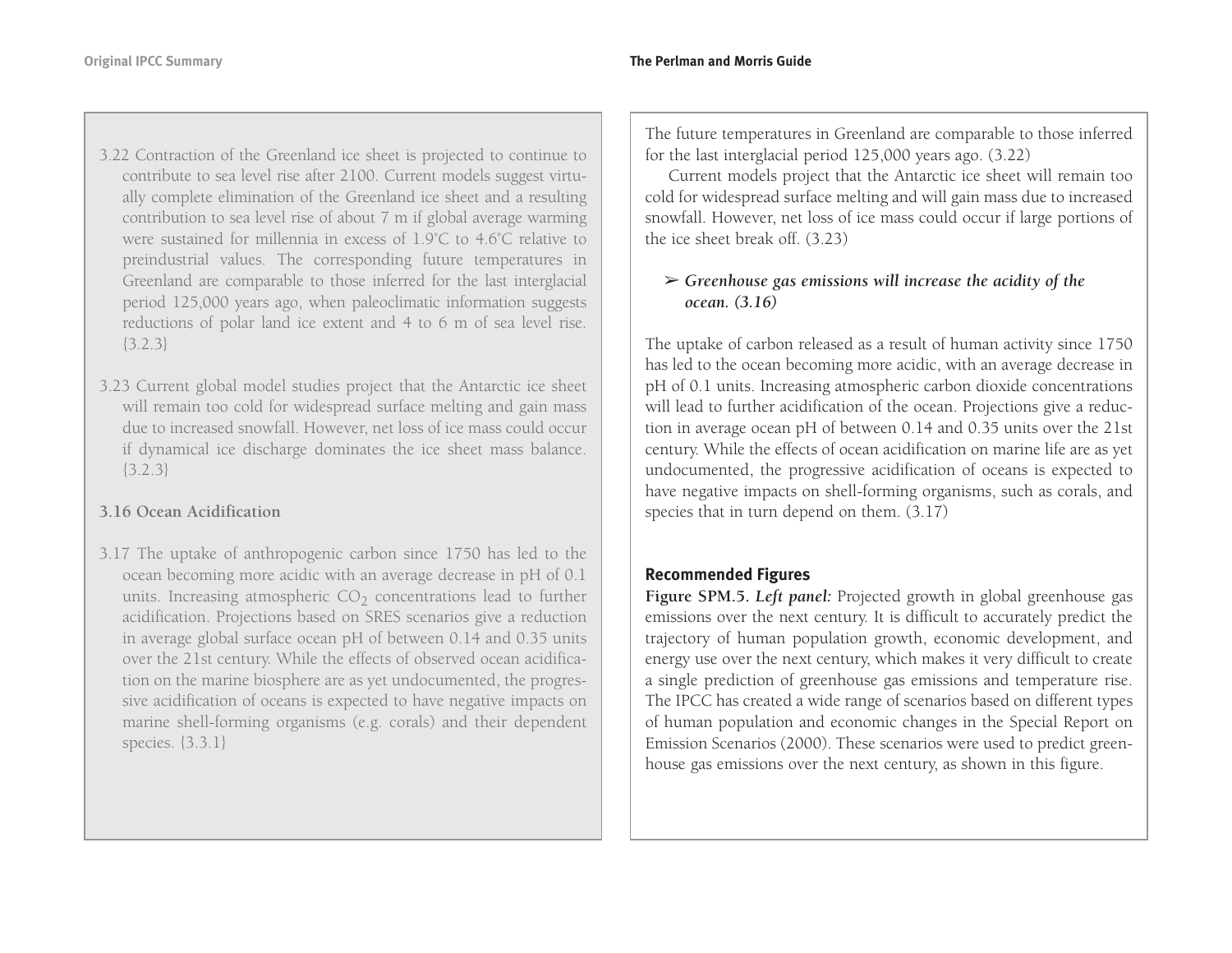- 3.22 Contraction of the Greenland ice sheet is projected to continue to contribute to sea level rise after 2100. Current models suggest virtually complete elimination of the Greenland ice sheet and a resulting contribution to sea level rise of about 7 m if global average warming were sustained for millennia in excess of 1.9˚C to 4.6˚C relative topreindustrial values. The corresponding future temperatures in Greenland are comparable to those inferred for the last interglacial period 125,000 years ago, when paleoclimatic information suggests reductions of polar land ice extent and 4 to 6 m of sea level rise. {3.2.3}
- 3.23 Current global model studies project that the Antarctic ice sheet will remain too cold for widespread surface melting and gain mass due to increased snowfall. However, net loss of ice mass could occur if dynamical ice discharge dominates the ice sheet mass balance. {3.2.3}

### **3.16 Ocean Acidification**

3.17 The uptake of anthropogenic carbon since 1750 has led to the ocean becoming more acidic with an average decrease in pH of 0.1 units. Increasing atmospheric CO<sub>2</sub> concentrations lead to further acidification. Projections based on SRES scenarios give a reduction in average global surface ocean pH of between 0.14 and 0.35 units over the 21st century. While the effects of observed ocean acidification on the marine biosphere are as yet undocumented, the progressive acidification of oceans is expected to have negative impacts on marine shell-forming organisms (e.g. corals) and their dependent species. {3.3.1}

The future temperatures in Greenland are comparable to those inferred for the last interglacial period 125,000 years ago. (3.22)

Current models project that the Antarctic ice sheet will remain too cold for widespread surface melting and will gain mass due to increased snowfall. However, net loss of ice mass could occur if large portions of the ice sheet break off. (3.23)

### ➢ *Greenhouse gas emissions will increase the acidity of the ocean. (3.16)*

The uptake of carbon released as a result of human activity since 1750 has led to the ocean becoming more acidic, with an average decrease in pH of 0.1 units. Increasing atmospheric carbon dioxide concentrations will lead to further acidification of the ocean. Projections give a reduction in average ocean pH of between 0.14 and 0.35 units over the 21st century. While the effects of ocean acidification on marine life are as yet undocumented, the progressive acidification of oceans is expected to have negative impacts on shell-forming organisms, such as corals, and species that in turn depend on them. (3.17)

### **Recommended Figures**

**Figure SPM.5.** *Left panel:* Projected growth in global greenhouse gas emissions over the next century. It is difficult to accurately predict the trajectory of human population growth, economic development, and energy use over the next century, which makes it very difficult to create a single prediction of greenhouse gas emissions and temperature rise. The IPCC has created a wide range of scenarios based on different types of human population and economic changes in the Special Report on Emission Scenarios (2000). These scenarios were used to predict greenhouse gas emissions over the next century, as shown in this figure.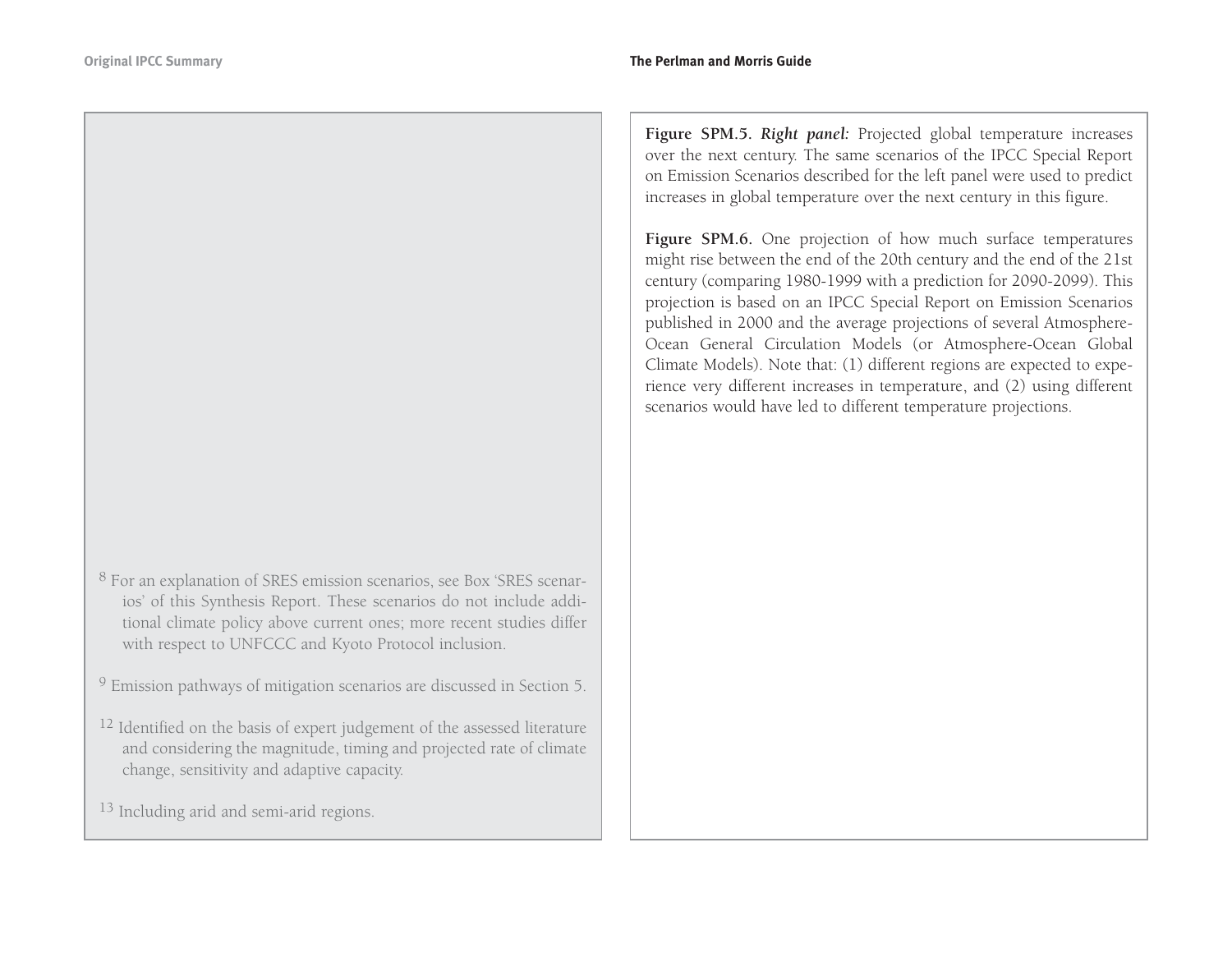- <sup>8</sup> For an explanation of SRES emission scenarios, see Box 'SRES scenarios' of this Synthesis Report. These scenarios do not include additional climate policy above current ones; more recent studies differ with respect to UNFCCC and Kyoto Protocol inclusion.
- $9$  Emission pathways of mitigation scenarios are discussed in Section 5.
- $^{12}$  Identified on the basis of expert judgement of the assessed literature and considering the magnitude, timing and projected rate of climate change, sensitivity and adaptive capacity.
- <sup>13</sup> Including arid and semi-arid regions.

**Figure SPM.5.** *Right panel:* Projected global temperature increases over the next century. The same scenarios of the IPCC Special Report on Emission Scenarios described for the left panel were used to predict increases in global temperature over the next century in this figure.

Figure SPM.6. One projection of how much surface temperatures might rise between the end of the 20th century and the end of the 21st century (comparing 1980-1999 with a prediction for 2090-2099). This projection is based on an IPCC Special Report on Emission Scenarios published in 2000 and the average projections of several Atmosphere-Ocean General Circulation Models (or Atmosphere-Ocean Global Climate Models). Note that: (1) different regions are expected to experience very different increases in temperature, and (2) using different scenarios would have led to different temperature projections.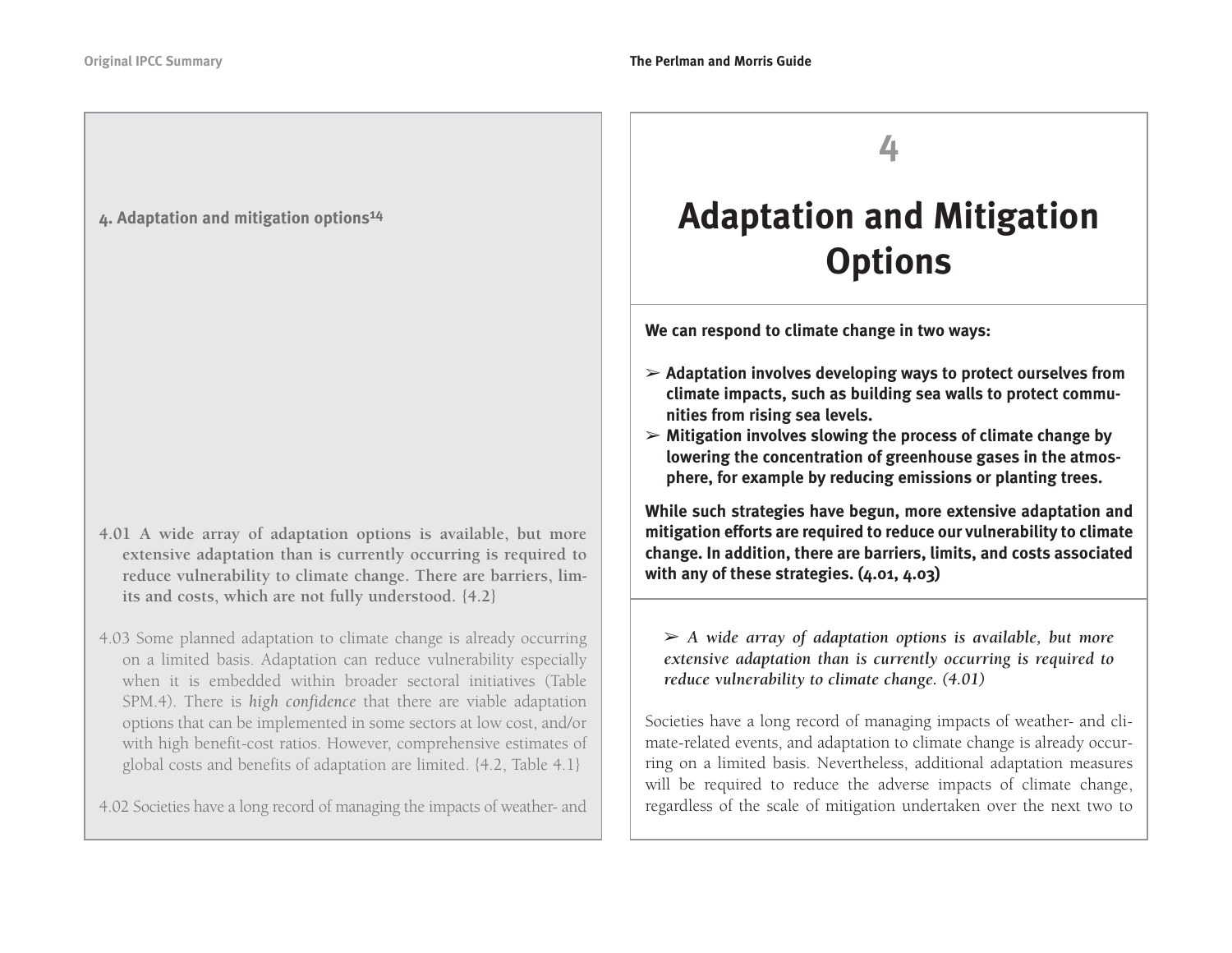#### **4. Adaptation and mitigation options14**

- **4.01 A wide array of adaptation options is available, but more extensive adaptation than is currently occurring is required to reduce vulnerability to climate change. There are barriers, limits and costs, which are not fully understood. {4.2}**
- 4.03 Some planned adaptation to climate change is already occurring on a limited basis. Adaptation can reduce vulnerability especially when it is embedded within broader sectoral initiatives (Table SPM.4). There is *high confidence* that there are viable adaptation options that can be implemented in some sectors at low cost, and/or with high benefit-cost ratios. However, comprehensive estimates of global costs and benefits of adaptation are limited. {4.2, Table 4.1}

4.02 Societies have a long record of managing the impacts of weather- and

**4**

# **Adaptation and Mitigation Options**

**We can respond to climate change in two ways:** 

- ➢ **Adaptation involves developing ways to protect ourselves from climate impacts, such as building sea walls to protect communities from rising sea levels.**
- ➢ **Mitigation involves slowing the process of climate change by lowering the concentration of greenhouse gases in the atmosphere, for example by reducing emissions or planting trees.**

**While such strategies have begun, more extensive adaptation and mitigation efforts are required to reduce our vulnerability to climate change. In addition, there are barriers, limits, and costs associated with any of these strategies. (4.01, 4.03)**

➢ *A wide array of adaptation options is available, but more extensive adaptation than is currently occurring is required to reduce vulnerability to climate change. (4.01)*

Societies have a long record of managing impacts of weather- and climate-related events, and adaptation to climate change is already occurring on a limited basis. Nevertheless, additional adaptation measures will be required to reduce the adverse impacts of climate change, regardless of the scale of mitigation undertaken over the next two to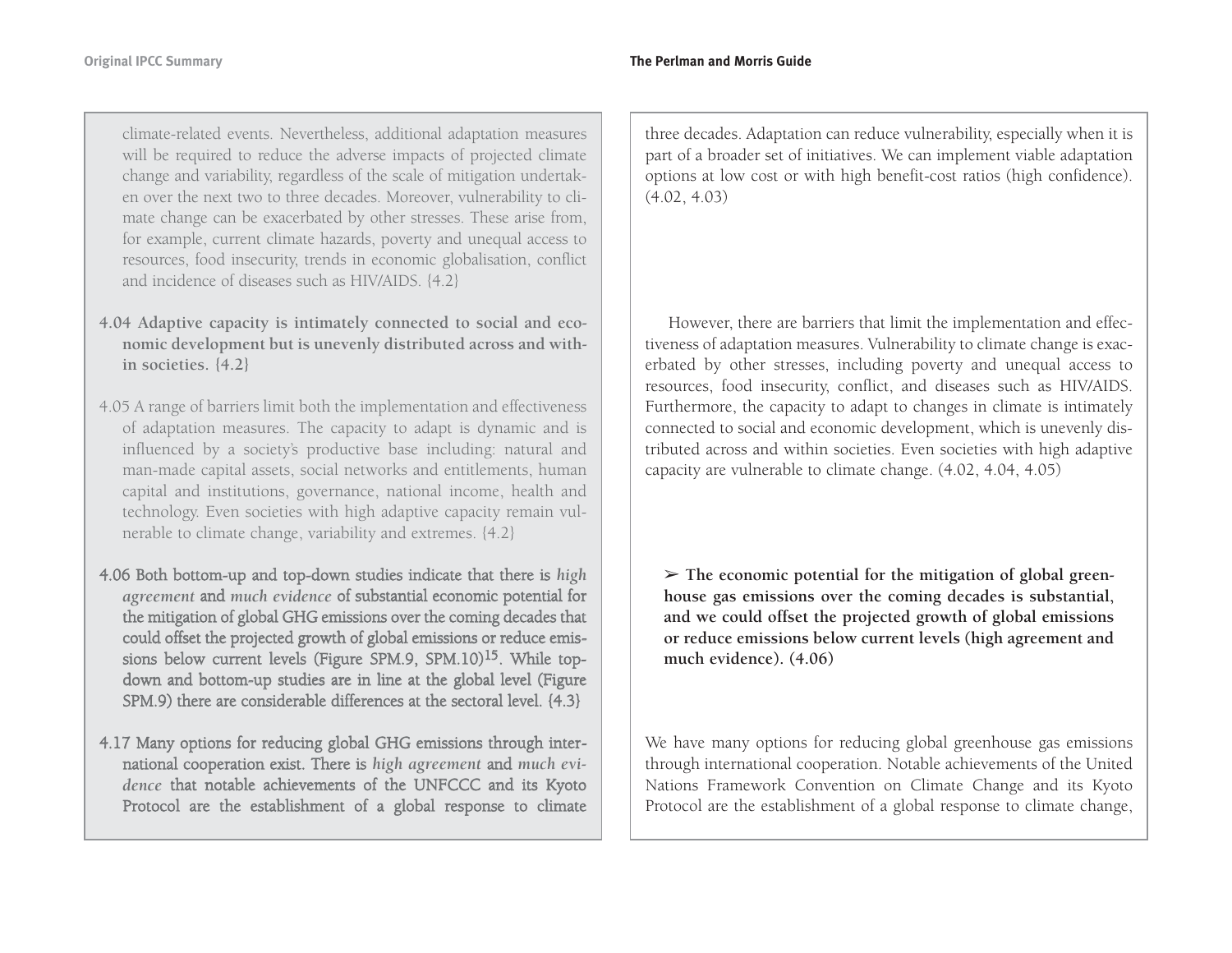climate-related events. Nevertheless, additional adaptation measures will be required to reduce the adverse impacts of projected climate change and variability, regardless of the scale of mitigation undertaken over the next two to three decades. Moreover, vulnerability to climate change can be exacerbated by other stresses. These arise from, for example, current climate hazards, poverty and unequal access to resources, food insecurity, trends in economic globalisation, conflict and incidence of diseases such as HIV/AIDS. {4.2}

- **4.04 Adaptive capacity is intimately connected to social and economic development but is unevenly distributed across and within societies. {4.2}**
- 4.05 A range of barriers limit both the implementation and effectiveness of adaptation measures. The capacity to adapt is dynamic and is influenced by a society's productive base including: natural and man-made capital assets, social networks and entitlements, human capital and institutions, governance, national income, health and technology. Even societies with high adaptive capacity remain vulnerable to climate change, variability and extremes. {4.2}
- 4.0 6 B oth b otto m-u p an d to p-d o w n stu dies in dicate that there is *high agreement* an d *much evidence*  of su bstantial eco n o mic p otential for the mitigatio n of glo bal G H G emissio ns o ver the co min g decades that co uld offset the projected gro wth of glo bal emissio ns or red uce emissions below current levels (Figure SPM.9, SPM.10)<sup>15</sup>. While topd o w n an d b otto m-u p stu dies are in line at the glo bal level (Fig ure SP M.9) there are co nsiderable differences at the sectoral level. {4.3}
- 4.17 Man y o ptio ns for red ucin g glo bal G H G emissio ns thro u g h international cooperation exist. There is *high agreement* and *much evidence* that n otable achievements of the U N F C C C an d its K y oto Protocol are the establish ment of a glo bal resp o nse to climate

three decades. Adaptation can reduce vulnerability, especially when it is part of a broader set of initiatives. We can implement viable adaptation options at low cost or with high benefit-cost ratios (high confidence). (4.02, 4.03)

However, there are barriers that limit the implementation and effectiveness of adaptation measures. Vulnerability to climate change is exacerbated by other stresses, including poverty and unequal access to resources, food insecurity, conflict, and diseases such as HIV/AIDS. Furthermore, the capacity to adapt to changes in climate is intimately connected to social and economic development, which is unevenly distributed across and within societies. Even societies with high adaptive capacity are vulnerable to climate change. (4.02, 4.04, 4.05)

➢ **The economic potential for the mitigation of global greenhouse gas emissions over the coming decades is substantial, and we could offset the projected growth of global emissions or reduce emissions below current levels (high agreement and much evidence). (4.06)**

We have many options for reducing global greenhouse gas emissions through international cooperation. Notable achievements of the United Nations Framework Convention on Climate Change and its Kyoto Protocol are the establishment of a global response to climate change,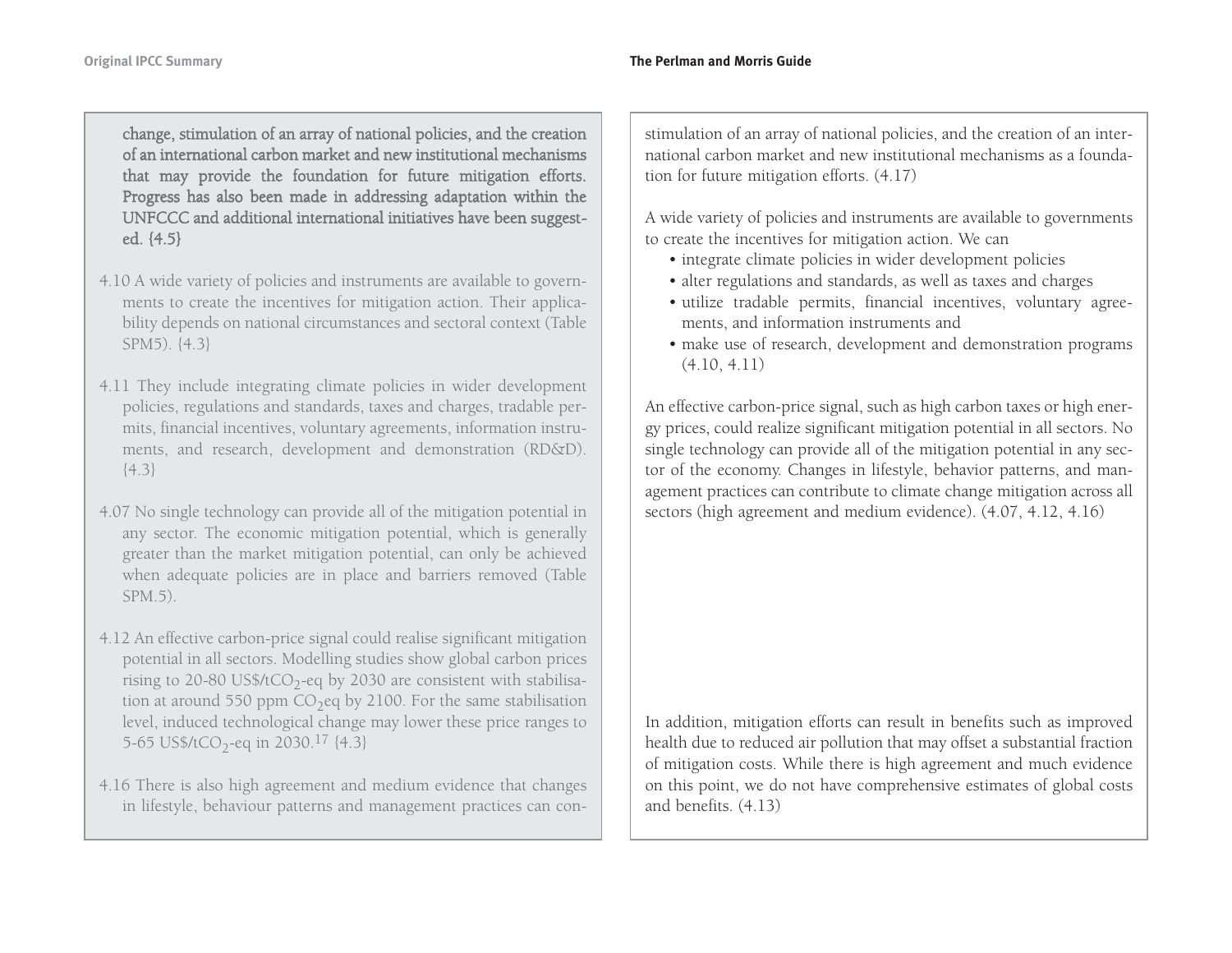chan ge, stim ulatio n of an array of natio nal p olicies, an d the creatio n of an international carbon market and new institutional mechanismsthat may provide the foundation for future mitigation efforts. Pro gress has also been made in ad dressin g adaptatio n within the U N F C C C an d ad ditio nal internatio nal initiatives have been su g gested. {4.5}

- 4.10 A wide variety of policies and instruments are available to governments to create the incentives for mitigation action. Their applicability depends on national circumstances and sectoral context (Table SPM5). {4.3}
- 4.11 They include integrating climate policies in wider development policies, regulations and standards, taxes and charges, tradable permits, financial incentives, voluntary agreements, information instruments, and research, development and demonstration (RD&D).  $\{4.3\}$
- 4.07 No single technology can provide all of the mitigation potential in any sector. The economic mitigation potential, which is generally greater than the market mitigation potential, can only be achieved when adequate policies are in place and barriers removed (Table SPM.5).
- 4.12 An effective carbon-price signal could realise significant mitigation potential in all sectors. Modelling studies show global carbon prices rising to 20-80 US\$/tCO<sub>2</sub>-eq by 2030 are consistent with stabilisation at around 550 ppm  $CO<sub>2</sub>$ eq by 2100. For the same stabilisation level, induced technological change may lower these price ranges to 5-65 US\$/tCO<sub>2</sub>-eq in 2030.<sup>17</sup>  $\{4.3\}$
- 4.16 There is also high agreement and medium evidence that changes in lifestyle, behaviour patterns and management practices can con-

stimulation of an array of national policies, and the creation of an international carbon market and new institutional mechanisms as a foundation for future mitigation efforts. (4.17)

A wide variety of policies and instruments are available to governments to create the incentives for mitigation action. We can

- integrate climate policies in wider development policies
- alter regulations and standards, as well as taxes and charges
- utilize tradable permits, financial incentives, voluntary agreements, and information instruments and
- make use of research, development and demonstration programs (4.10, 4.11)

An effective carbon-price signal, such as high carbon taxes or high energy prices, could realize significant mitigation potential in all sectors. No single technology can provide all of the mitigation potential in any sector of the economy. Changes in lifestyle, behavior patterns, and management practices can contribute to climate change mitigation across all sectors (high agreement and medium evidence). (4.07, 4.12, 4.16)

In addition, mitigation efforts can result in benefits such as improved health due to reduced air pollution that may offset a substantial fraction of mitigation costs. While there is high agreement and much evidence on this point, we do not have comprehensive estimates of global costs and benefits. (4.13)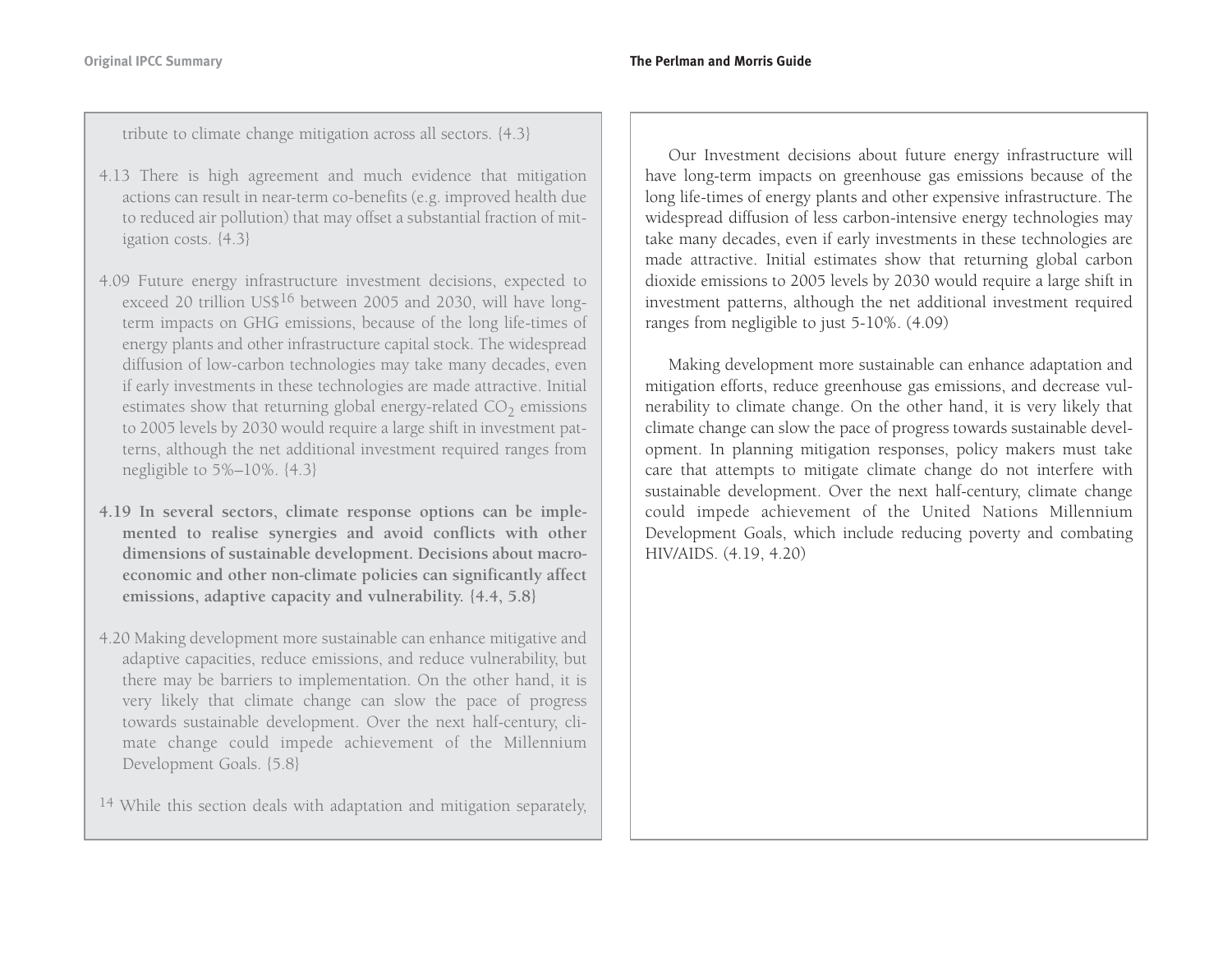tribute to climate change mitigation across all sectors. {4.3}

- 4.13 There is high agreement and much evidence that mitigation actions can result in near-term co-benefits (e.g. improved health due to reduced air pollution) that may offset a substantial fraction of mitigation costs. {4.3}
- 4.09 Future energy infrastructure investment decisions, expected to exceed 20 trillion US\$<sup>16</sup> between 2005 and 2030, will have longterm impacts on GHG emissions, because of the long life-times of energy plants and other infrastructure capital stock. The widespread diffusion of low-carbon technologies may take many decades, even if early investments in these technologies are made attractive. Initial estimates show that returning global energy-related CO<sub>2</sub> emissions to 2005 levels by 2030 would require a large shift in investment patterns, although the net additional investment required ranges from negligible to 5%–10%. {4.3}
- **4.19 In several sectors, climate response options can be implemented to realise synergies and avoid conflicts with other dimensions of sustainable development. Decisions about macroeconomic and other non-climate policies can significantly affect emissions, adaptive capacity and vulnerability. {4.4, 5.8}**
- 4.20 Making development more sustainable can enhance mitigative and adaptive capacities, reduce emissions, and reduce vulnerability, but there may be barriers to implementation. On the other hand, it is very likely that climate change can slow the pace of progress towards sustainable development. Over the next half-century, climate change could impede achievement of the Millennium Development Goals. {5.8}

<sup>14</sup> While this section deals with adaptation and mitigation separately,

Our Investment decisions about future energy infrastructure will have long-term impacts on greenhouse gas emissions because of the long life-times of energy plants and other expensive infrastructure. The widespread diffusion of less carbon-intensive energy technologies may take many decades, even if early investments in these technologies are made attractive. Initial estimates show that returning global carbon dioxide emissions to 2005 levels by 2030 would require a large shift in investment patterns, although the net additional investment required ranges from negligible to just 5-10%. (4.09)

Making development more sustainable can enhance adaptation and mitigation efforts, reduce greenhouse gas emissions, and decrease vulnerability to climate change. On the other hand, it is very likely that climate change can slow the pace of progress towards sustainable development. In planning mitigation responses, policy makers must take care that attempts to mitigate climate change do not interfere with sustainable development. Over the next half-century, climate change could impede achievement of the United Nations Millennium Development Goals, which include reducing poverty and combating HIV/AIDS. (4.19, 4.20)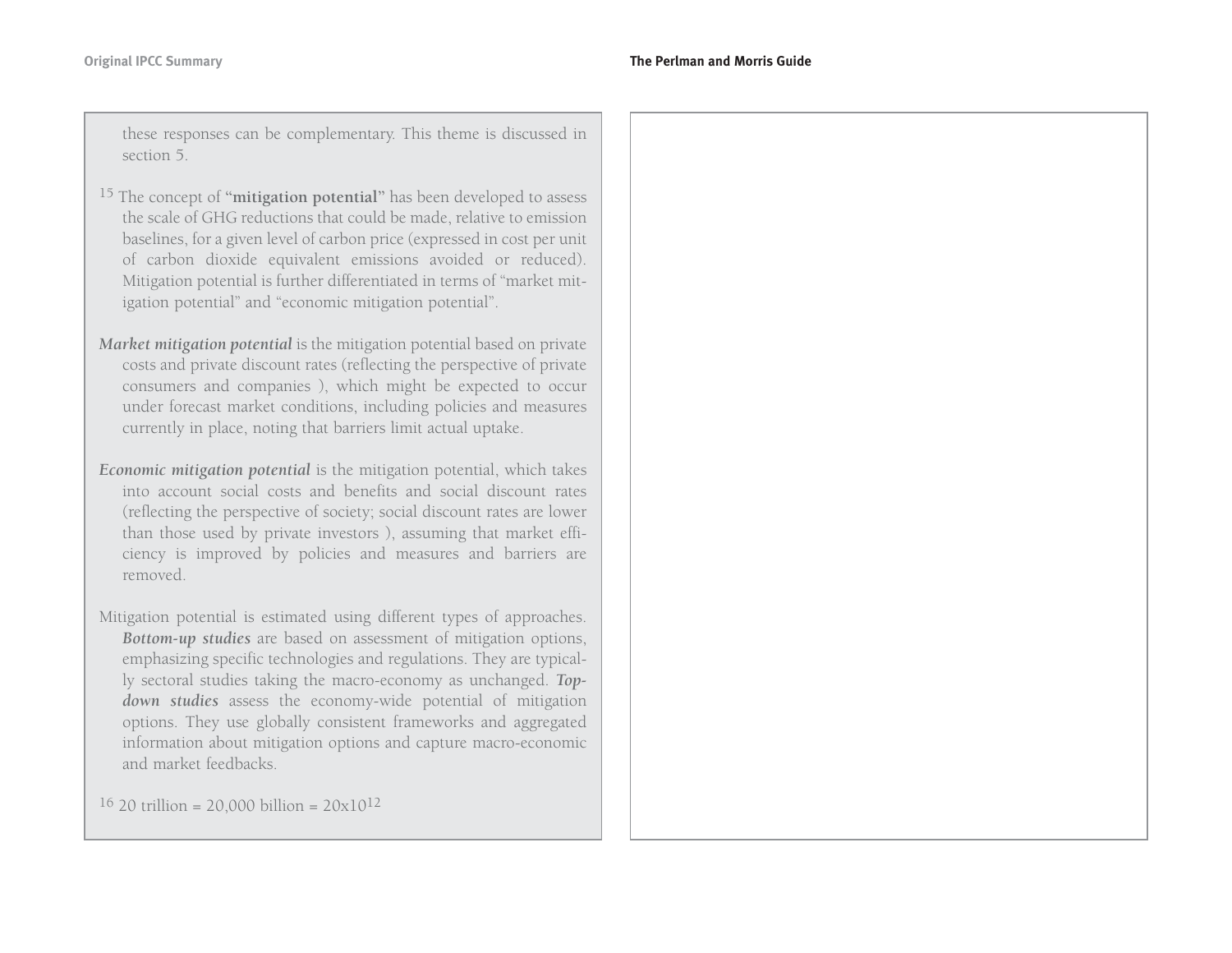these responses can be complementary. This theme is discussed in section 5.

- 15 The concept of **"mitigation potential"** has been developed to assess the scale of GHG reductions that could be made, relative to emission baselines, for a given level of carbon price (expressed in cost per unit of carbon dioxide equivalent emissions avoided or reduced). Mitigation potential is further differentiated in terms of "market mitigation potential" and "economic mitigation potential".
- *Market mitigation potential* is the mitigation potential based on private costs and private discount rates (reflecting the perspective of private consumers and companies ), which might be expected to occur under forecast market conditions, including policies and measures currently in place, noting that barriers limit actual uptake.
- *Economic mitigation potential* is the mitigation potential, which takes into account social costs and benefits and social discount rates(reflecting the perspective of society; social discount rates are lower than those used by private investors ), assuming that market efficiency is improved by policies and measures and barriers are removed.
- Mitigation potential is estimated using different types of approaches. *Bottom-up studies* are based on assessment of mitigation options, emphasizing specific technologies and regulations. They are typically sectoral studies taking the macro-economy as unchanged. *Topdown studies* assess the economy-wide potential of mitigation options. They use globally consistent frameworks and aggregated information about mitigation options and capture macro-economic and market feedbacks.

 $16$  20 trillion = 20,000 billion = 20x $10^{12}$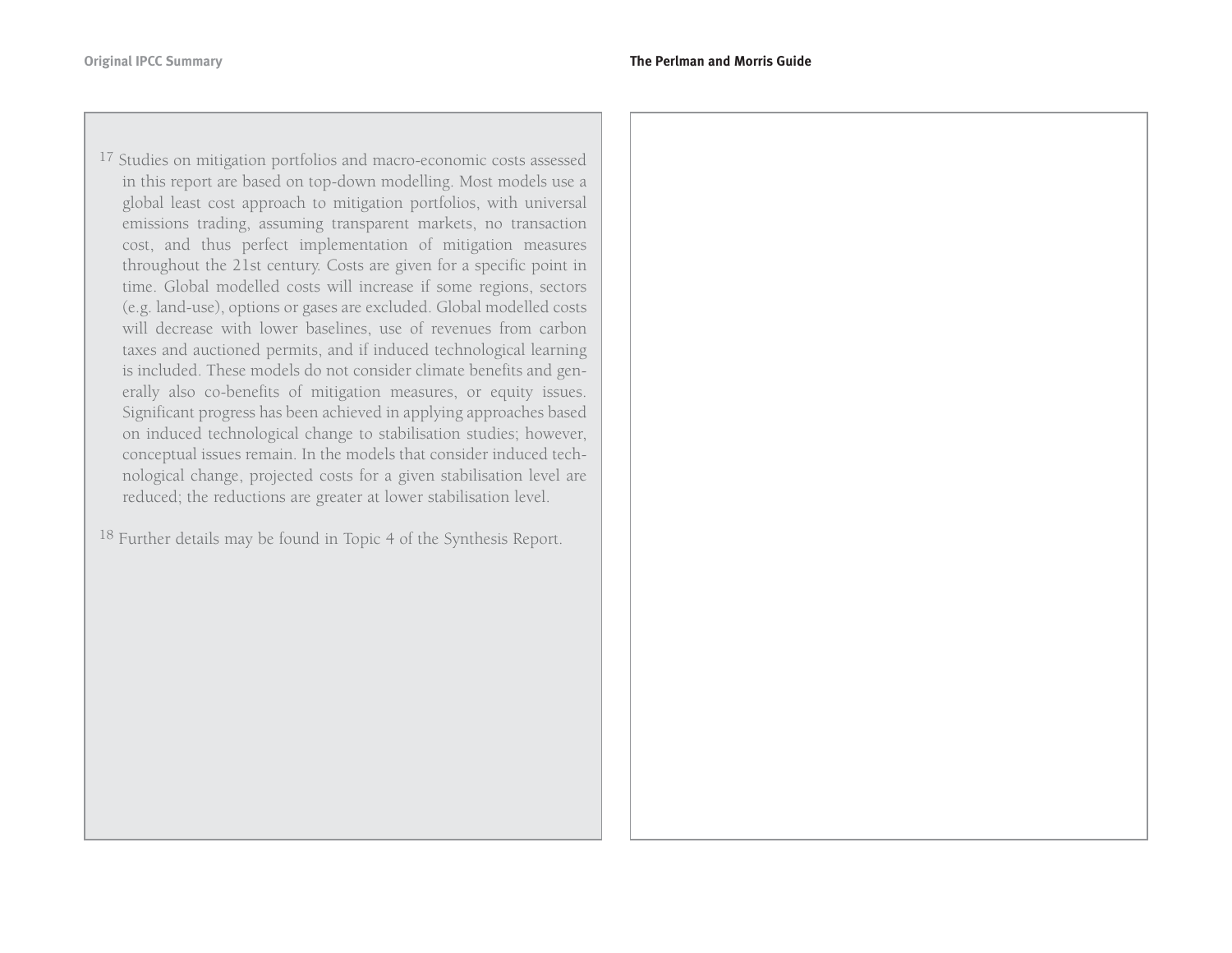$^{17}$  Studies on mitigation portfolios and macro-economic costs assessed in this report are based on top-down modelling. Most models use a global least cost approach to mitigation portfolios, with universal emissions trading, assuming transparent markets, no transaction cost, and thus perfect implementation of mitigation measures throughout the 21st century. Costs are given for a specific point in time. Global modelled costs will increase if some regions, sectors (e.g. land-use), options or gases are excluded. Global modelled costs will decrease with lower baselines, use of revenues from carbon taxes and auctioned permits, and if induced technological learning is included. These models do not consider climate benefits and generally also co-benefits of mitigation measures, or equity issues. Significant progress has been achieved in applying approaches based on induced technological change to stabilisation studies; however, conceptual issues remain. In the models that consider induced technological change, projected costs for a given stabilisation level are reduced; the reductions are greater at lower stabilisation level.

<sup>18</sup> Further details may be found in Topic 4 of the Synthesis Report.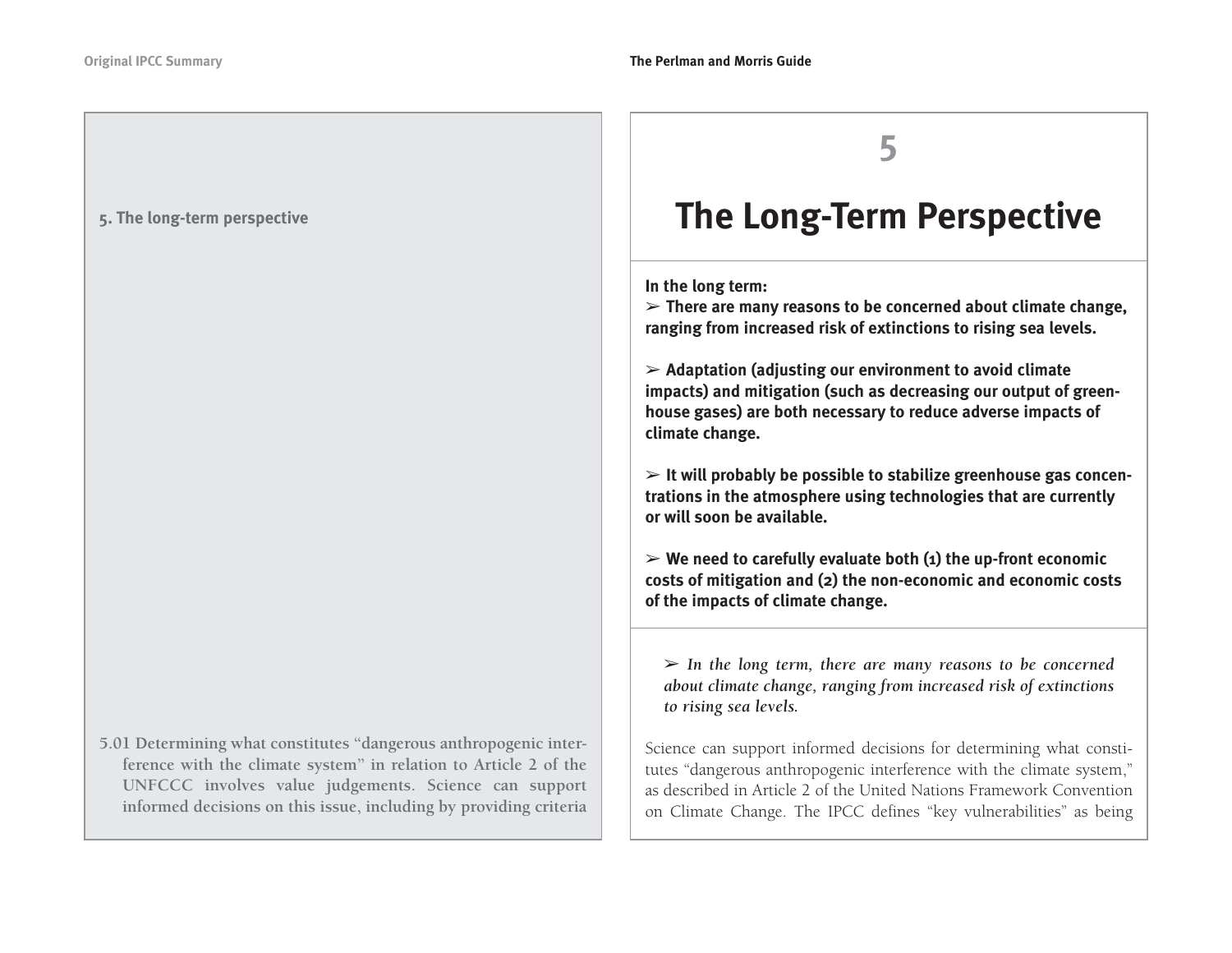**5. The long-term perspective**

**5.01 Determining what constitutes "dangerous anthropogenic interference with the climate system" in relation to Article 2 of the UNFCCC involves value judgements. Science can support informed decisions on this issue, including by providing criteria**



# **The Long-Term Perspective**

**In the long term:**

➢ **There are many reasons to be concerned about climate change, ranging from increased risk of extinctions to rising sea levels.**

➢ **Adaptation (adjusting our environment to avoid climate impacts) and mitigation (such as decreasing our output of greenhouse gases) are both necessary to reduce adverse impacts of climate change.**

➢ **It will probably be possible to stabilize greenhouse gas concentrations in the atmosphere using technologies that are currently or will soon be available.**

➢ **We need to carefully evaluate both (1) the up-front economic costs of mitigation and (2) the non-economic and economic costs of the impacts of climate change.**

➢ *In the long term, there are many reasons to be concerned about climate change, ranging from increased risk of extinctions to rising sea levels.*

Science can support informed decisions for determining what constitutes "dangerous anthropogenic interference with the climate system," as described in Article 2 of the United Nations Framework Conventionon Climate Change. The IPCC defines "key vulnerabilities" as being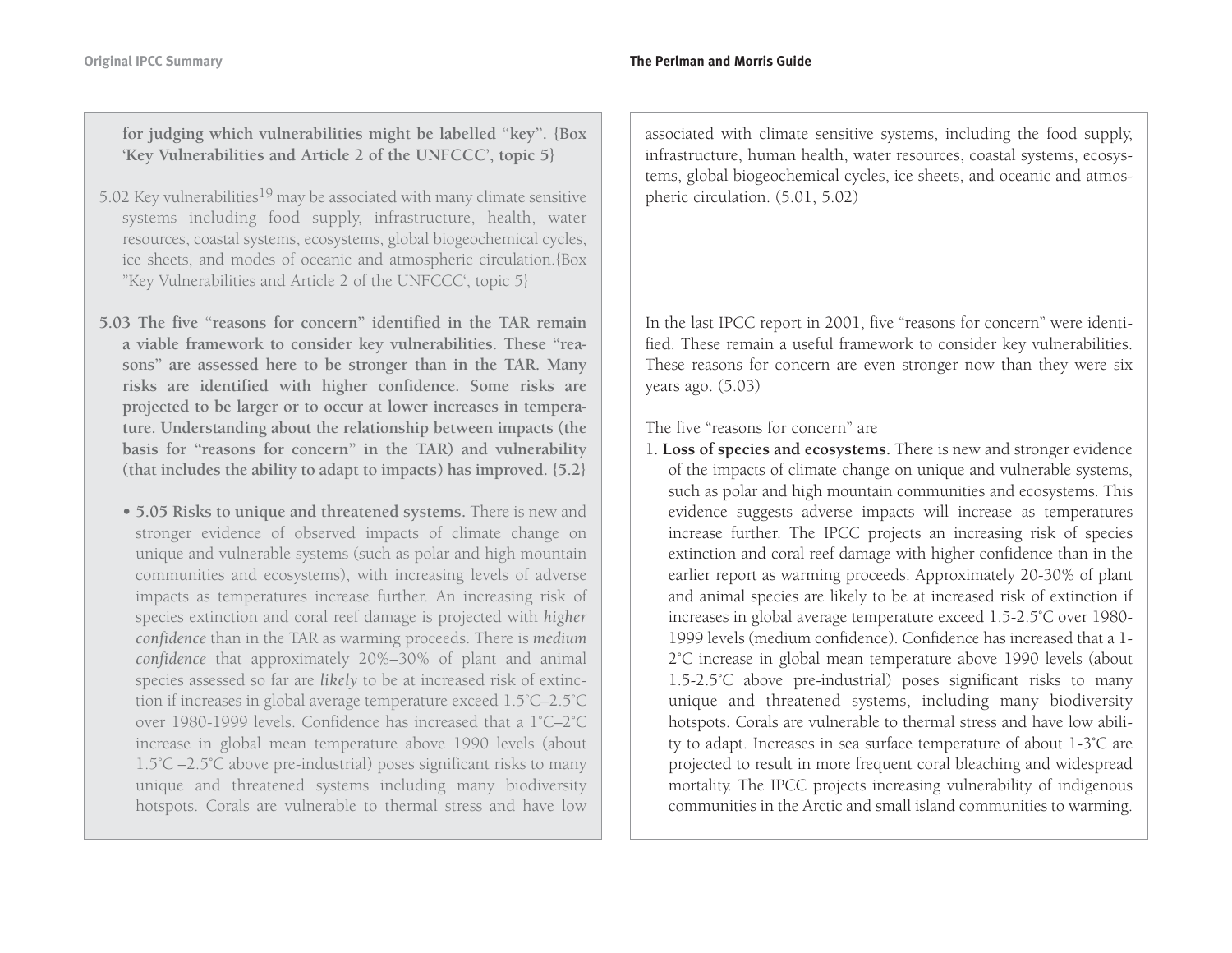**for judging which vulnerabilities might be labelled "key". {Box 'Key Vulnerabilities and Article 2 of the UNFCCC', topic 5}** 

- 5.02 Key vulnerabilities<sup>19</sup> may be associated with many climate sensitive systems including food supply, infrastructure, health, water resources, coastal systems, ecosystems, global biogeochemical cycles, ice sheets, and modes of oceanic and atmospheric circulation.{Box "Key Vulnerabilities and Article 2 of the UNFCCC', topic 5}
- **5.03 The five "reasons for concern" identified in the TAR remain a viable framework to consider key vulnerabilities. These "reasons" are assessed here to be stronger than in the TAR. Many risks are identified with higher confidence. Some risks are projected to be larger or to occur at lower increases in temperature. Understanding about the relationship between impacts (the basis for "reasons for concern" in the TAR) and vulnerability (that includes the ability to adapt to impacts) has improved. {5.2}** 
	- **5.05 Risks to unique and threatened systems.** There is new and stronger evidence of observed impacts of climate change on unique and vulnerable systems (such as polar and high mountain communities and ecosystems), with increasing levels of adverse impacts as temperatures increase further. An increasing risk of species extinction and coral reef damage is projected with *higher confidence* than in the TAR as warming proceeds. There is *medium confidence* that approximately 20%–30% of plant and animal species assessed so far are *likely* to be at increased risk of extinction if increases in global average temperature exceed 1.5˚C–2.5˚C over 1980-1999 levels. Confidence has increased that a 1˚C–2˚Cincrease in global mean temperature above 1990 levels (about 1.5˚C –2.5˚C above pre-industrial) poses significant risks to many unique and threatened systems including many biodiversity hotspots. Corals are vulnerable to thermal stress and have low

associated with climate sensitive systems, including the food supply, infrastructure, human health, water resources, coastal systems, ecosystems, global biogeochemical cycles, ice sheets, and oceanic and atmospheric circulation. (5.01, 5.02)

In the last IPCC report in 2001, five "reasons for concern" were identified. These remain a useful framework to consider key vulnerabilities. These reasons for concern are even stronger now than they were six years ago. (5.03)

The five "reasons for concern" are

1. **Loss of species and ecosystems.** There is new and stronger evidence of the impacts of climate change on unique and vulnerable systems, such as polar and high mountain communities and ecosystems. This evidence suggests adverse impacts will increase as temperatures increase further. The IPCC projects an increasing risk of species extinction and coral reef damage with higher confidence than in the earlier report as warming proceeds. Approximately 20-30% of plant and animal species are likely to be at increased risk of extinction if increases in global average temperature exceed 1.5-2.5˚C over 1980- 1999 levels (medium confidence). Confidence has increased that a 1- 2˚C increase in global mean temperature above 1990 levels (about 1.5-2.5˚C above pre-industrial) poses significant risks to many unique and threatened systems, including many biodiversity hotspots. Corals are vulnerable to thermal stress and have low ability to adapt. Increases in sea surface temperature of about 1-3˚C are projected to result in more frequent coral bleaching and widespread mortality. The IPCC projects increasing vulnerability of indigenous communities in the Arctic and small island communities to warming.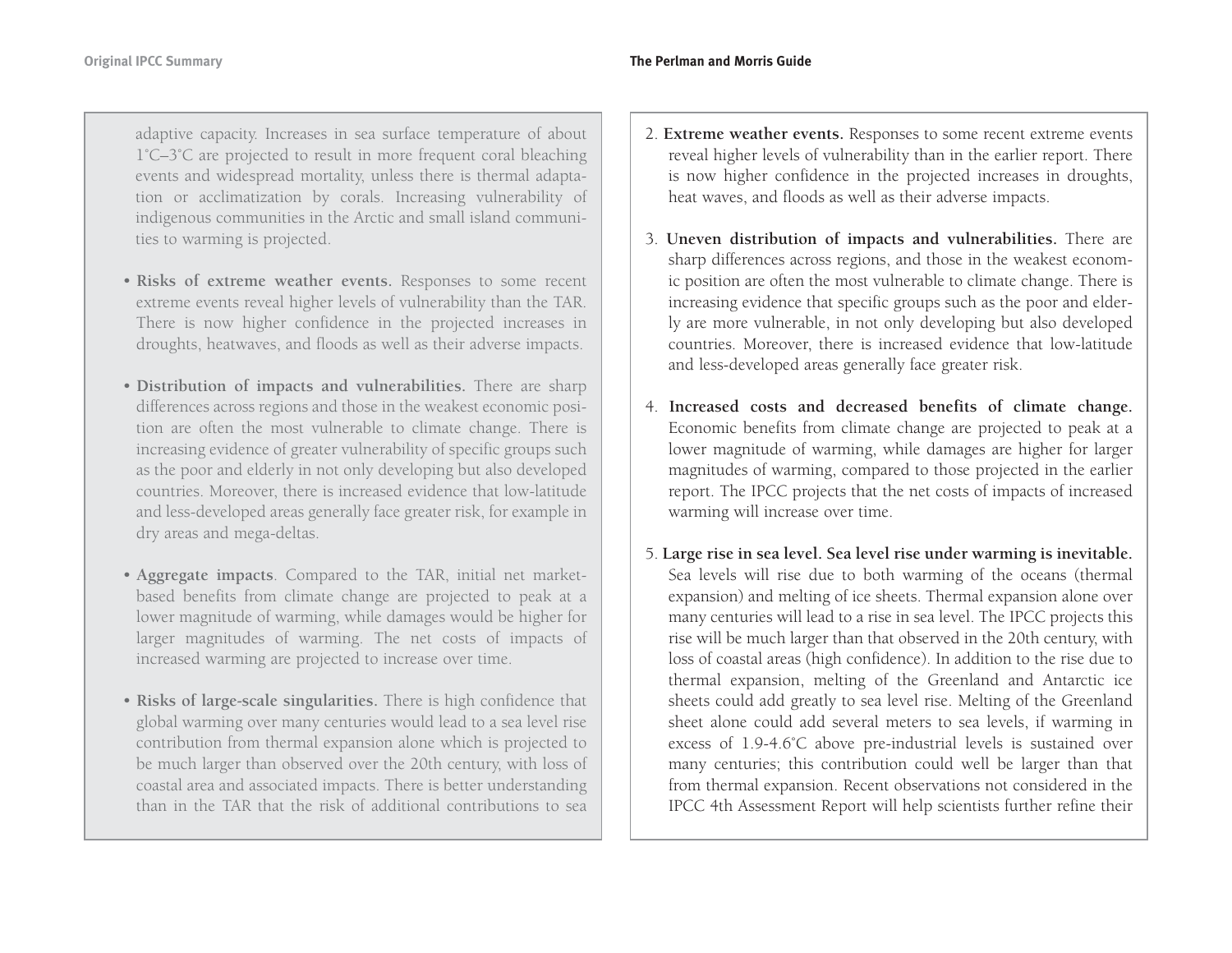adaptive capacity. Increases in sea surface temperature of about 1˚C–3˚C are projected to result in more frequent coral bleaching events and widespread mortality, unless there is thermal adaptation or acclimatization by corals. Increasing vulnerability of indigenous communities in the Arctic and small island communities to warming is projected.

- **Risks of extreme weather events.** Responses to some recent extreme events reveal higher levels of vulnerability than the TAR. There is now higher confidence in the projected increases in droughts, heatwaves, and floods as well as their adverse impacts.
- **Distribution of impacts and vulnerabilities.** There are sharp differences across regions and those in the weakest economic position are often the most vulnerable to climate change. There is increasing evidence of greater vulnerability of specific groups such as the poor and elderly in not only developing but also developed countries. Moreover, there is increased evidence that low-latitude and less-developed areas generally face greater risk, for example in dry areas and mega-deltas.
- **Aggregate impacts**. Compared to the TAR, initial net marketbased benefits from climate change are projected to peak at a lower magnitude of warming, while damages would be higher for larger magnitudes of warming. The net costs of impacts of increased warming are projected to increase over time.
- **Risks of large-scale singularities.** There is high confidence that global warming over many centuries would lead to a sea level rise contribution from thermal expansion alone which is projected to be much larger than observed over the 20th century, with loss of coastal area and associated impacts. There is better understanding than in the TAR that the risk of additional contributions to sea
- 2. **Extreme weather events.** Responses to some recent extreme events reveal higher levels of vulnerability than in the earlier report. There is now higher confidence in the projected increases in droughts, heat waves, and floods as well as their adverse impacts.
- 3. **Uneven distribution of impacts and vulnerabilities.** There are sharp differences across regions, and those in the weakest economic position are often the most vulnerable to climate change. There is increasing evidence that specific groups such as the poor and elderly are more vulnerable, in not only developing but also developed countries. Moreover, there is increased evidence that low-latitude and less-developed areas generally face greater risk.
- 4. **Increased costs and decreased benefits of climate change.** Economic benefits from climate change are projected to peak at a lower magnitude of warming, while damages are higher for larger magnitudes of warming, compared to those projected in the earlier report. The IPCC projects that the net costs of impacts of increased warming will increase over time.
- 5. **Large rise in sea level. Sea level rise under warming is inevitable.** Sea levels will rise due to both warming of the oceans (thermal expansion) and melting of ice sheets. Thermal expansion alone over many centuries will lead to a rise in sea level. The IPCC projects this rise will be much larger than that observed in the 20th century, with loss of coastal areas (high confidence). In addition to the rise due to thermal expansion, melting of the Greenland and Antarctic ice sheets could add greatly to sea level rise. Melting of the Greenland sheet alone could add several meters to sea levels, if warming in excess of 1.9-4.6˚C above pre-industrial levels is sustained over many centuries; this contribution could well be larger than that from thermal expansion. Recent observations not considered in the IPCC 4th Assessment Report will help scientists further refine their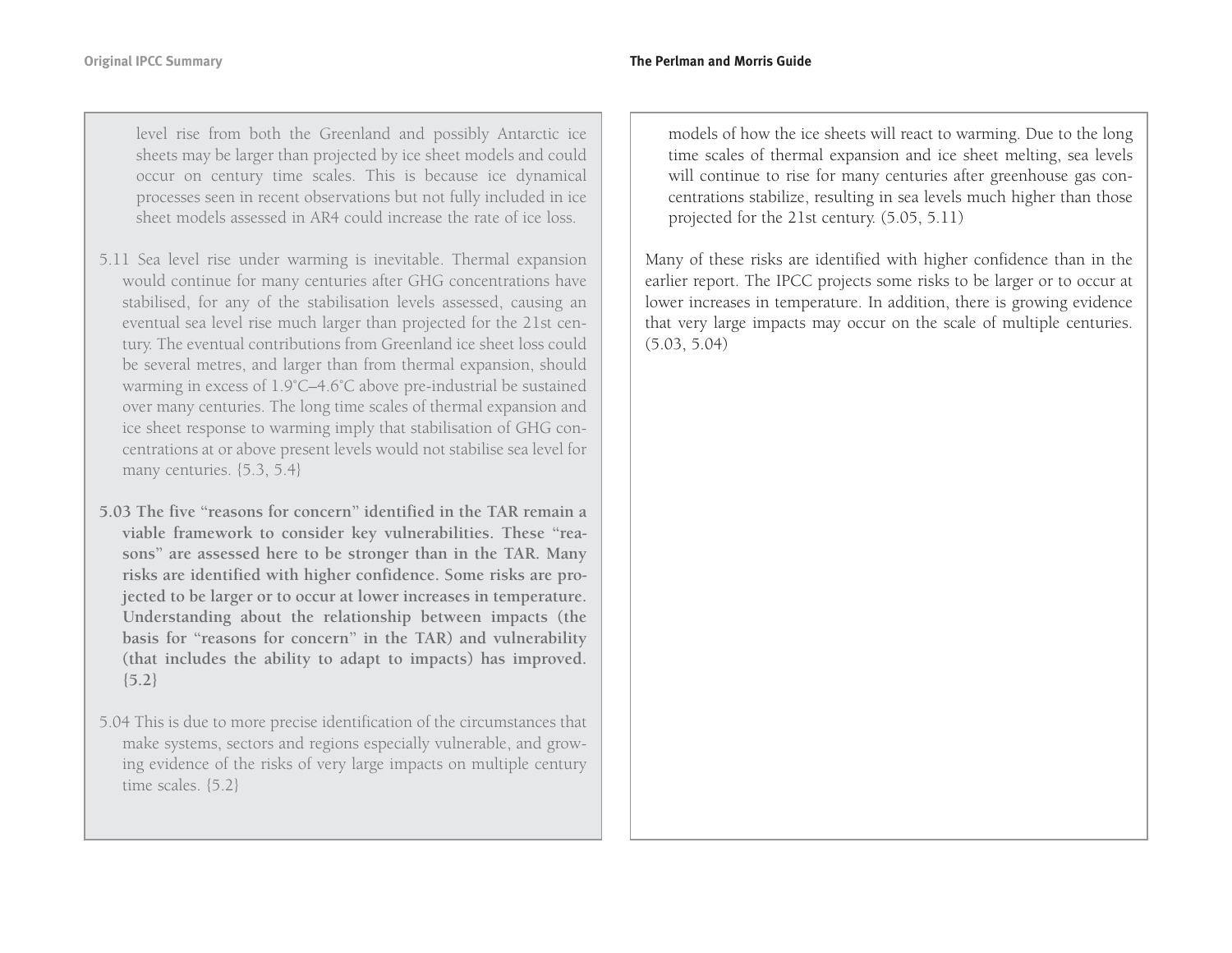level rise from both the Greenland and possibly Antarctic ice sheets may be larger than projected by ice sheet models and could occur on century time scales. This is because ice dynamical processes seen in recent observations but not fully included in ice sheet models assessed in AR4 could increase the rate of ice loss.

- 5.11 Sea level rise under warming is inevitable. Thermal expansion would continue for many centuries after GHG concentrations have stabilised, for any of the stabilisation levels assessed, causing an eventual sea level rise much larger than projected for the 21st century. The eventual contributions from Greenland ice sheet loss could be several metres, and larger than from thermal expansion, should warming in excess of 1.9˚C–4.6˚C above pre-industrial be sustained over many centuries. The long time scales of thermal expansion and ice sheet response to warming imply that stabilisation of GHG concentrations at or above present levels would not stabilise sea level for many centuries. {5.3, 5.4}
- **5.03 The five "reasons for concern" identified in the TAR remain aviable framework to consider key vulnerabilities. These "reasons" are assessed here to be stronger than in the TAR. Many risks are identified with higher confidence. Some risks are projected to be larger or to occur at lower increases in temperature. Understanding about the relationship between impacts (the basis for "reasons for concern" in the TAR) and vulnerability (that includes the ability to adapt to impacts) has improved. {5.2}**
- 5.04 This is due to more precise identification of the circumstances that make systems, sectors and regions especially vulnerable, and growing evidence of the risks of very large impacts on multiple century time scales. {5.2}

models of how the ice sheets will react to warming. Due to the long time scales of thermal expansion and ice sheet melting, sea levels will continue to rise for many centuries after greenhouse gas concentrations stabilize, resulting in sea levels much higher than those projected for the 21st century. (5.05, 5.11)

Many of these risks are identified with higher confidence than in the earlier report. The IPCC projects some risks to be larger or to occur at lower increases in temperature. In addition, there is growing evidence that very large impacts may occur on the scale of multiple centuries. (5.03, 5.04)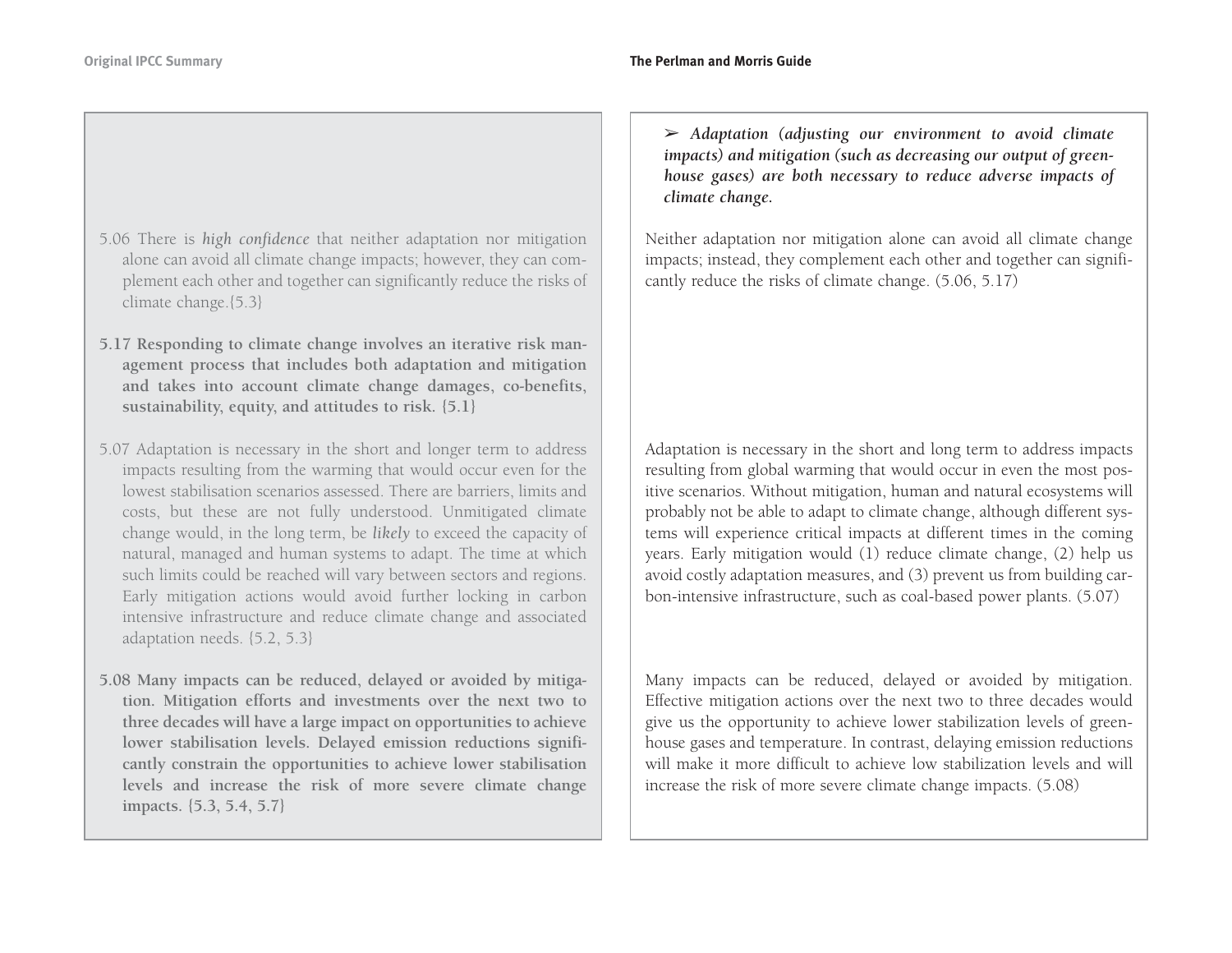- 5.06 There is *high confidence* that neither adaptation nor mitigation alone can avoid all climate change impacts; however, they can complement each other and together can significantly reduce the risks of climate change.{5.3}
- **5.17 Responding to climate change involves an iterative risk management process that includes both adaptation and mitigation and takes into account climate change damages, co-benefits, sustainability, equity, and attitudes to risk. {5.1}**
- 5.07 Adaptation is necessary in the short and longer term to address impacts resulting from the warming that would occur even for the lowest stabilisation scenarios assessed. There are barriers, limits and costs, but these are not fully understood. Unmitigated climate change would, in the long term, be *likely* to exceed the capacity of natural, managed and human systems to adapt. The time at which such limits could be reached will vary between sectors and regions. Early mitigation actions would avoid further locking in carbon intensive infrastructure and reduce climate change and associated adaptation needs. {5.2, 5.3}
- **5.08 Many impacts can be reduced, delayed or avoided by mitigation. Mitigation efforts and investments over the next two to three decades will have a large impact on opportunities to achieve lower stabilisation levels. Delayed emission reductions significantly constrain the opportunities to achieve lower stabilisation levels and increase the risk of more severe climate change impacts. {5.3, 5.4, 5.7}**

➢ *Adaptation (adjusting our environment to avoid climate impacts) and mitigation (such as decreasing our output of greenhouse gases) are both necessary to reduce adverse impacts of climate change.*

Neither adaptation nor mitigation alone can avoid all climate change impacts; instead, they complement each other and together can significantly reduce the risks of climate change. (5.06, 5.17)

Adaptation is necessary in the short and long term to address impacts resulting from global warming that would occur in even the most positive scenarios. Without mitigation, human and natural ecosystems will probably not be able to adapt to climate change, although different systems will experience critical impacts at different times in the coming years. Early mitigation would (1) reduce climate change, (2) help us avoid costly adaptation measures, and (3) prevent us from building carbon-intensive infrastructure, such as coal-based power plants. (5.07)

Many impacts can be reduced, delayed or avoided by mitigation. Effective mitigation actions over the next two to three decades would give us the opportunity to achieve lower stabilization levels of greenhouse gases and temperature. In contrast, delaying emission reductions will make it more difficult to achieve low stabilization levels and willincrease the risk of more severe climate change impacts. (5.08)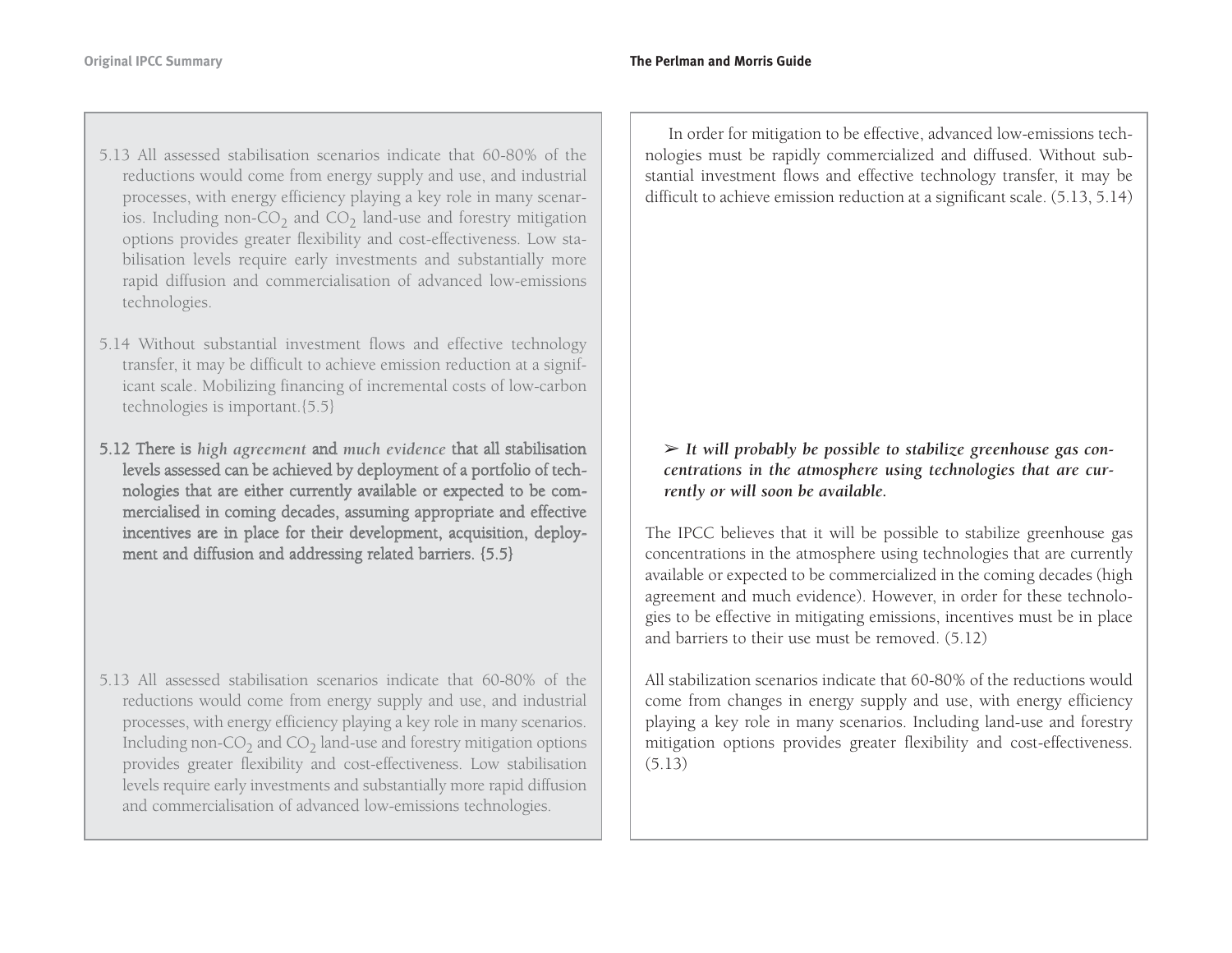- 5.13 All assessed stabilisation scenarios indicate that 60-80% of the reductions would come from energy supply and use, and industrial processes, with energy efficiency playing a key role in many scenarios. Including non-CO<sub>2</sub> and CO<sub>2</sub> land-use and forestry mitigation options provides greater flexibility and cost-effectiveness. Low stabilisation levels require early investments and substantially more rapid diffusion and commercialisation of advanced low-emissions technologies.
- 5.14 Without substantial investment flows and effective technology transfer, it may be difficult to achieve emission reduction at a significant scale. Mobilizing financing of incremental costs of low-carbon technologies is important.{5.5}
- 5.12 T here is *high agreement* an d *much evidence* that all stabilisatio n levels assessed can be achieved b y deplo y ment of a p ortfolio of techn olo gies that are either currently available or ex pected to be co mmercialised in coming decades, assuming appropriate and effective incentives are in place for their develo p ment, acq uisitio n, deplo yment and diffusion and addressing related barriers. {5.5}

5.13 All assessed stabilisation scenarios indicate that 60-80% of the reductions would come from energy supply and use, and industrial processes, with energy efficiency playing a key role in many scenarios. Including non-CO<sub>2</sub> and CO<sub>2</sub> land-use and forestry mitigation options provides greater flexibility and cost-effectiveness. Low stabilisation levels require early investments and substantially more rapid diffusion and commercialisation of advanced low-emissions technologies.

In order for mitigation to be effective, advanced low-emissions technologies must be rapidly commercialized and diffused. Without substantial investment flows and effective technology transfer, it may be difficult to achieve emission reduction at a significant scale. (5.13, 5.14)

### ➢ *It will probably be possible to stabilize greenhouse gas concentrations in the atmosphere using technologies that are currently or will soon be available.*

The IPCC believes that it will be possible to stabilize greenhouse gas concentrations in the atmosphere using technologies that are currently available or expected to be commercialized in the coming decades (high agreement and much evidence). However, in order for these technologies to be effective in mitigating emissions, incentives must be in place and barriers to their use must be removed. (5.12)

All stabilization scenarios indicate that 60-80% of the reductions wouldcome from changes in energy supply and use, with energy efficiency playing a key role in many scenarios. Including land-use and forestry mitigation options provides greater flexibility and cost-effectiveness. (5.13)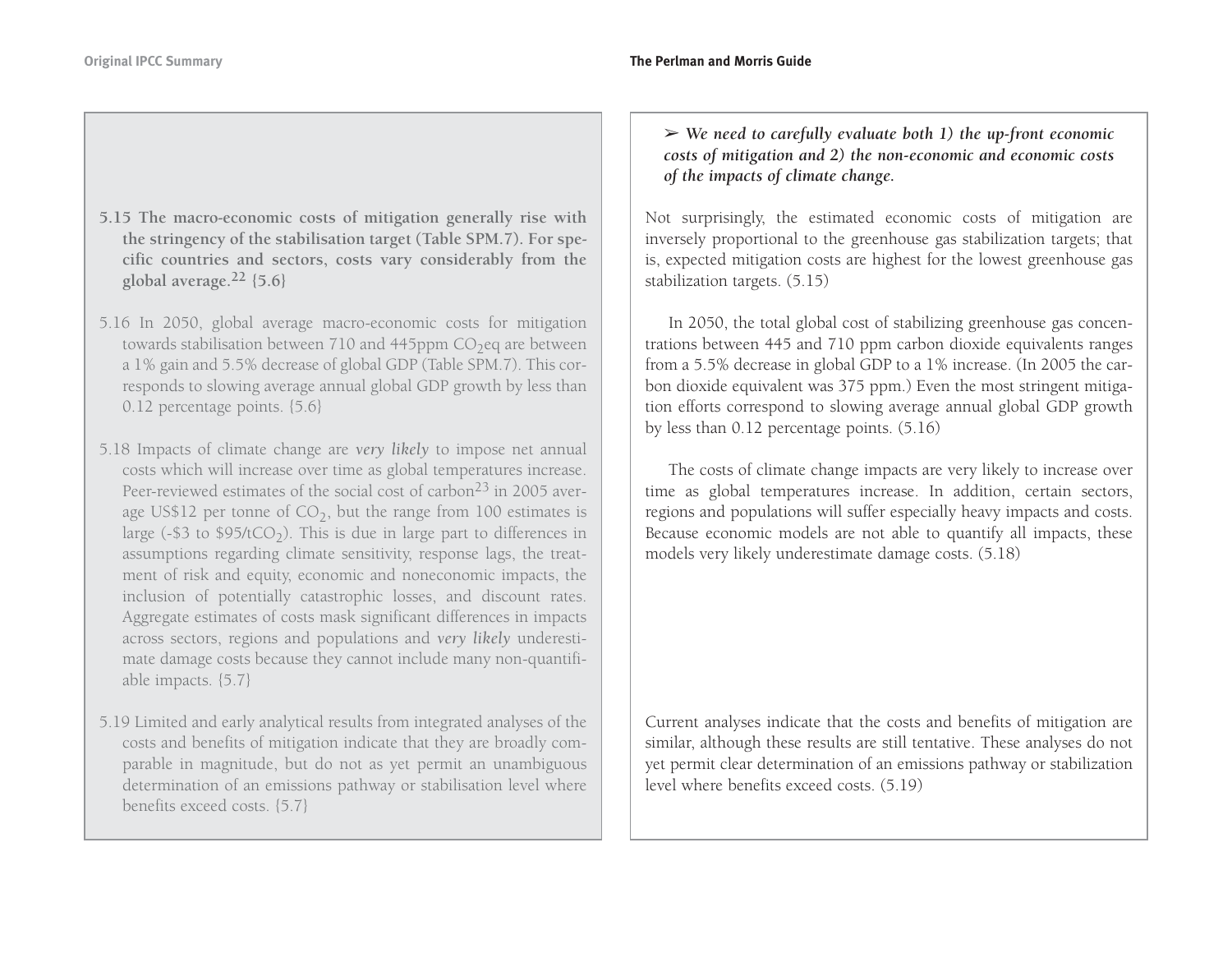- **5.15 The macro-economic costs of mitigation generally rise with the stringency of the stabilisation target (Table SPM.7). For specific countries and sectors, costs vary considerably from the <sup>g</sup>lobal average.<sup>22</sup> {5.6}**
- 5.16 In 2050, global average macro-economic costs for mitigation towards stabilisation between 710 and 445ppm  $CO<sub>2</sub>$ eq are between a 1% gain and 5.5% decrease of global GDP (Table SPM.7). This corresponds to slowing average annual global GDP growth by less than 0.12 percentage points. {5.6}
- 5.18 Impacts of climate change are *very likely* to impose net annual costs which will increase over time as global temperatures increase. Peer-reviewed estimates of the social cost of carbon<sup>23</sup> in 2005 average US\$12 per tonne of  $CO<sub>2</sub>$ , but the range from 100 estimates is large (-\$3 to \$95/tCO<sub>2</sub>). This is due in large part to differences in assumptions regarding climate sensitivity, response lags, the treatment of risk and equity, economic and noneconomic impacts, the inclusion of potentially catastrophic losses, and discount rates. Aggregate estimates of costs mask significant differences in impacts across sectors, regions and populations and *very likely* underestimate damage costs because they cannot include many non-quantifiable impacts. {5.7}
- 5.19 Limited and early analytical results from integrated analyses of the costs and benefits of mitigation indicate that they are broadly comparable in magnitude, but do not as yet permit an unambiguous determination of an emissions pathway or stabilisation level where benefits exceed costs. {5.7}

➢ *We need to carefully evaluate both 1) the up-front economic costs of mitigation and 2) the non-economic and economic costs of the impacts of climate change.*

Not surprisingly, the estimated economic costs of mitigation are inversely proportional to the greenhouse gas stabilization targets; that is, expected mitigation costs are highest for the lowest greenhouse gas stabilization targets. (5.15)

In 2050, the total global cost of stabilizing greenhouse gas concentrations between 445 and 710 ppm carbon dioxide equivalents ranges from a 5.5% decrease in global GDP to a 1% increase. (In 2005 the carbon dioxide equivalent was 375 ppm.) Even the most stringent mitigation efforts correspond to slowing average annual global GDP growth by less than 0.12 percentage points. (5.16)

The costs of climate change impacts are very likely to increase over time as global temperatures increase. In addition, certain sectors, regions and populations will suffer especially heavy impacts and costs. Because economic models are not able to quantify all impacts, these models very likely underestimate damage costs. (5.18)

Current analyses indicate that the costs and benefits of mitigation are similar, although these results are still tentative. These analyses do not yet permit clear determination of an emissions pathway or stabilization level where benefits exceed costs. (5.19)